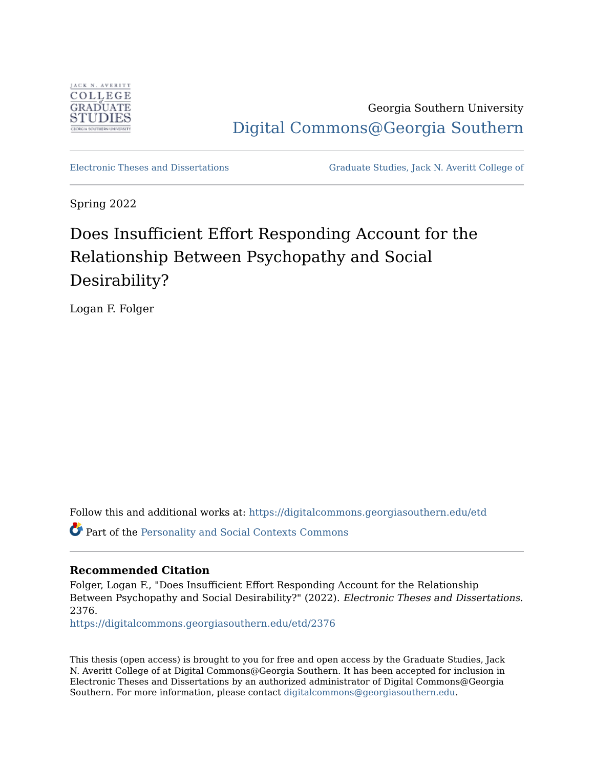

Georgia Southern University [Digital Commons@Georgia Southern](https://digitalcommons.georgiasouthern.edu/) 

[Electronic Theses and Dissertations](https://digitalcommons.georgiasouthern.edu/etd) [Graduate Studies, Jack N. Averitt College of](https://digitalcommons.georgiasouthern.edu/cogs) 

Spring 2022

# Does Insufficient Effort Responding Account for the Relationship Between Psychopathy and Social Desirability?

Logan F. Folger

Follow this and additional works at: [https://digitalcommons.georgiasouthern.edu/etd](https://digitalcommons.georgiasouthern.edu/etd?utm_source=digitalcommons.georgiasouthern.edu%2Fetd%2F2376&utm_medium=PDF&utm_campaign=PDFCoverPages) 

Part of the [Personality and Social Contexts Commons](http://network.bepress.com/hgg/discipline/413?utm_source=digitalcommons.georgiasouthern.edu%2Fetd%2F2376&utm_medium=PDF&utm_campaign=PDFCoverPages)

### **Recommended Citation**

Folger, Logan F., "Does Insufficient Effort Responding Account for the Relationship Between Psychopathy and Social Desirability?" (2022). Electronic Theses and Dissertations. 2376.

[https://digitalcommons.georgiasouthern.edu/etd/2376](https://digitalcommons.georgiasouthern.edu/etd/2376?utm_source=digitalcommons.georgiasouthern.edu%2Fetd%2F2376&utm_medium=PDF&utm_campaign=PDFCoverPages) 

This thesis (open access) is brought to you for free and open access by the Graduate Studies, Jack N. Averitt College of at Digital Commons@Georgia Southern. It has been accepted for inclusion in Electronic Theses and Dissertations by an authorized administrator of Digital Commons@Georgia Southern. For more information, please contact [digitalcommons@georgiasouthern.edu](mailto:digitalcommons@georgiasouthern.edu).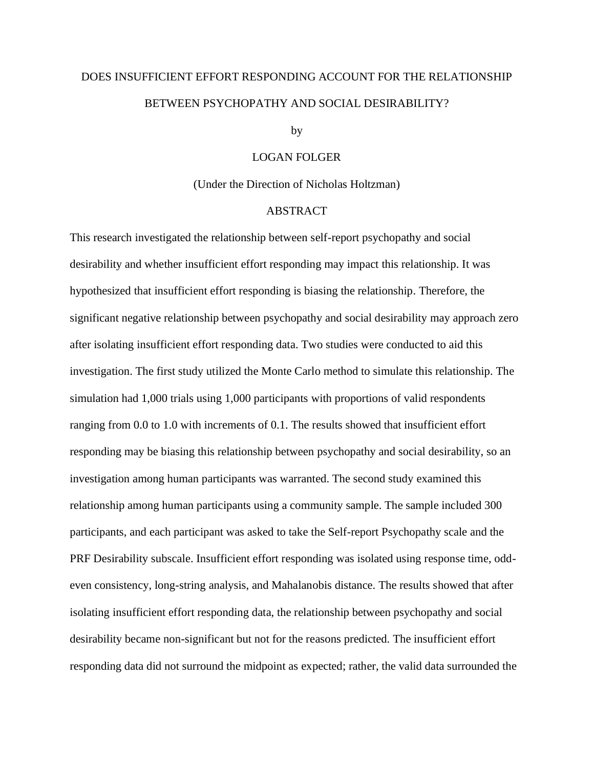# DOES INSUFFICIENT EFFORT RESPONDING ACCOUNT FOR THE RELATIONSHIP BETWEEN PSYCHOPATHY AND SOCIAL DESIRABILITY?

#### by

#### LOGAN FOLGER

#### (Under the Direction of Nicholas Holtzman)

#### ABSTRACT

This research investigated the relationship between self-report psychopathy and social desirability and whether insufficient effort responding may impact this relationship. It was hypothesized that insufficient effort responding is biasing the relationship. Therefore, the significant negative relationship between psychopathy and social desirability may approach zero after isolating insufficient effort responding data. Two studies were conducted to aid this investigation. The first study utilized the Monte Carlo method to simulate this relationship. The simulation had 1,000 trials using 1,000 participants with proportions of valid respondents ranging from 0.0 to 1.0 with increments of 0.1. The results showed that insufficient effort responding may be biasing this relationship between psychopathy and social desirability, so an investigation among human participants was warranted. The second study examined this relationship among human participants using a community sample. The sample included 300 participants, and each participant was asked to take the Self-report Psychopathy scale and the PRF Desirability subscale. Insufficient effort responding was isolated using response time, oddeven consistency, long-string analysis, and Mahalanobis distance. The results showed that after isolating insufficient effort responding data, the relationship between psychopathy and social desirability became non-significant but not for the reasons predicted. The insufficient effort responding data did not surround the midpoint as expected; rather, the valid data surrounded the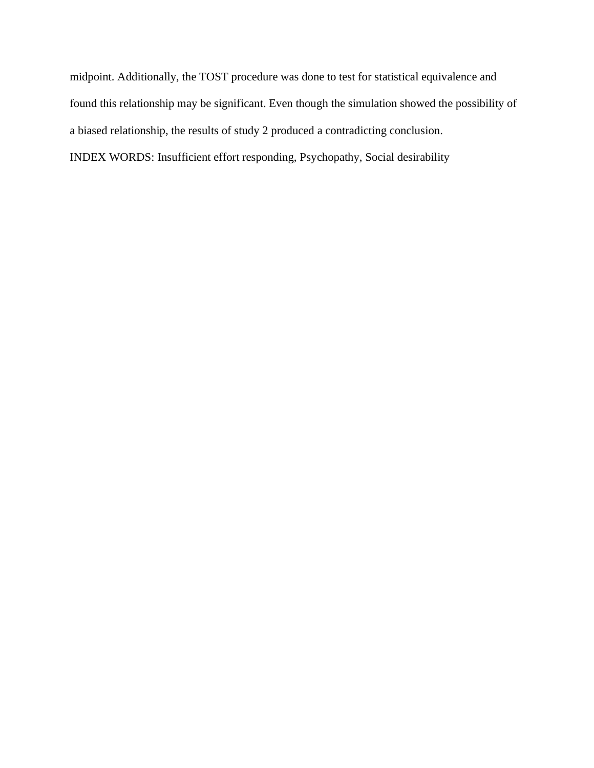midpoint. Additionally, the TOST procedure was done to test for statistical equivalence and found this relationship may be significant. Even though the simulation showed the possibility of a biased relationship, the results of study 2 produced a contradicting conclusion. INDEX WORDS: Insufficient effort responding, Psychopathy, Social desirability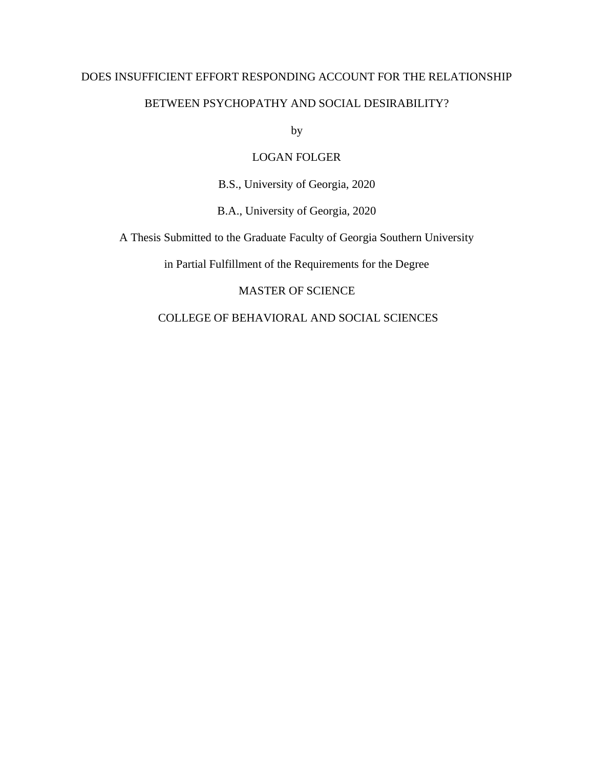# DOES INSUFFICIENT EFFORT RESPONDING ACCOUNT FOR THE RELATIONSHIP BETWEEN PSYCHOPATHY AND SOCIAL DESIRABILITY?

by

# LOGAN FOLGER

B.S., University of Georgia, 2020

B.A., University of Georgia, 2020

A Thesis Submitted to the Graduate Faculty of Georgia Southern University

in Partial Fulfillment of the Requirements for the Degree

# MASTER OF SCIENCE

# COLLEGE OF BEHAVIORAL AND SOCIAL SCIENCES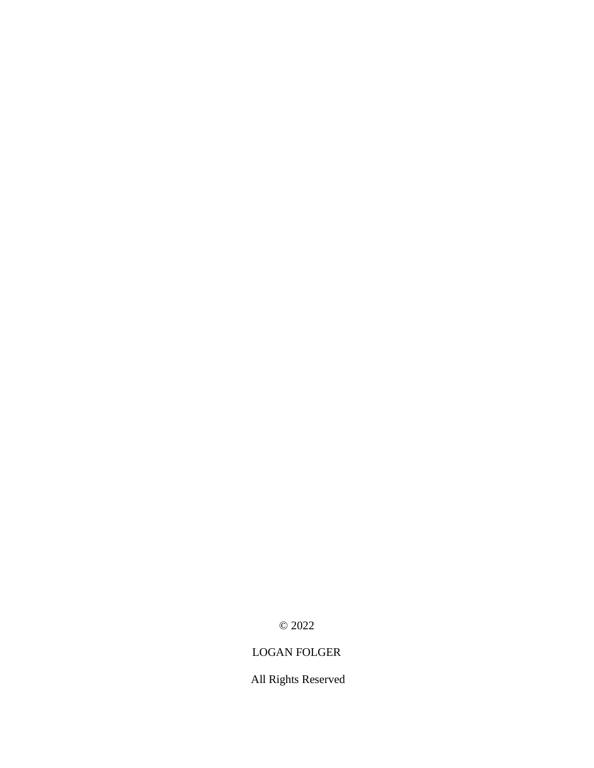© 2022

# LOGAN FOLGER

All Rights Reserved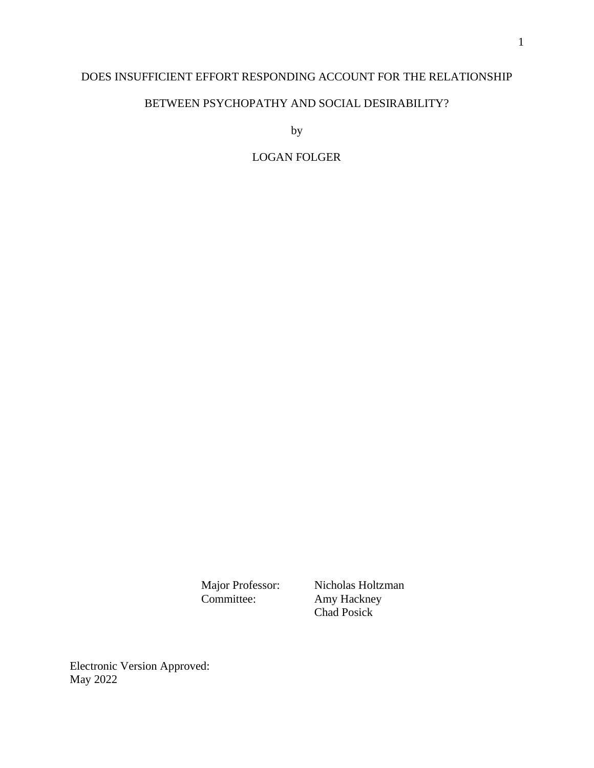# DOES INSUFFICIENT EFFORT RESPONDING ACCOUNT FOR THE RELATIONSHIP

# BETWEEN PSYCHOPATHY AND SOCIAL DESIRABILITY?

by

# LOGAN FOLGER

Major Professor: Nicholas Holtzman<br>Committee: Amy Hackney Amy Hackney Chad Posick

Electronic Version Approved: May 2022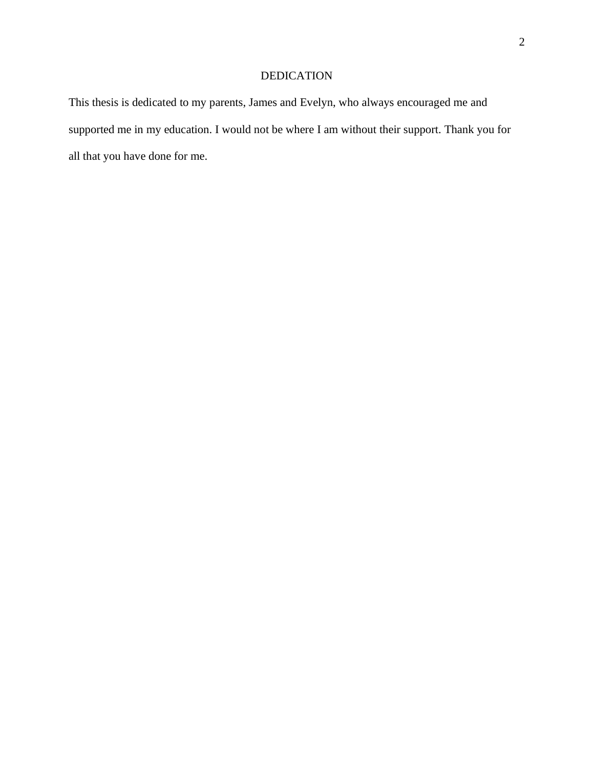# DEDICATION

This thesis is dedicated to my parents, James and Evelyn, who always encouraged me and supported me in my education. I would not be where I am without their support. Thank you for all that you have done for me.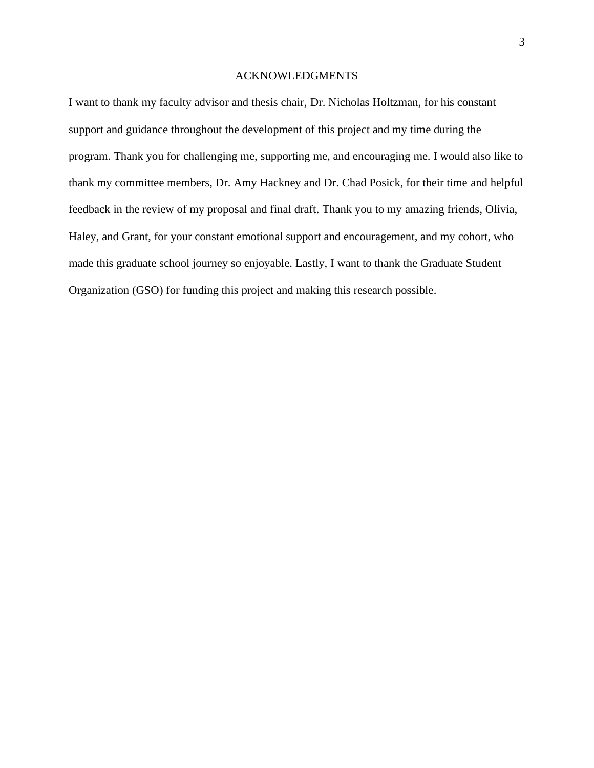#### ACKNOWLEDGMENTS

I want to thank my faculty advisor and thesis chair, Dr. Nicholas Holtzman, for his constant support and guidance throughout the development of this project and my time during the program. Thank you for challenging me, supporting me, and encouraging me. I would also like to thank my committee members, Dr. Amy Hackney and Dr. Chad Posick, for their time and helpful feedback in the review of my proposal and final draft. Thank you to my amazing friends, Olivia, Haley, and Grant, for your constant emotional support and encouragement, and my cohort, who made this graduate school journey so enjoyable. Lastly, I want to thank the Graduate Student Organization (GSO) for funding this project and making this research possible.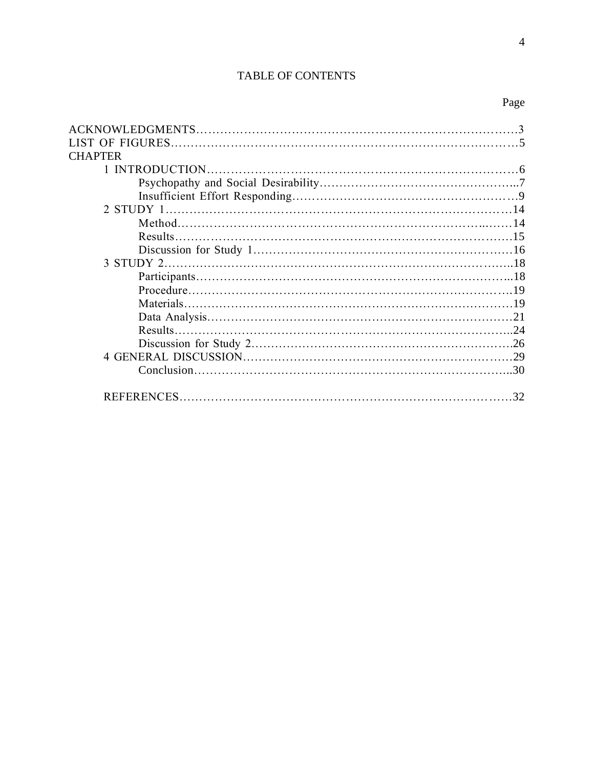# TABLE OF CONTENTS

| <b>CHAPTER</b> |  |
|----------------|--|
|                |  |
|                |  |
|                |  |
|                |  |
|                |  |
|                |  |
|                |  |
|                |  |
|                |  |
|                |  |
|                |  |
|                |  |
|                |  |
|                |  |
|                |  |
|                |  |
|                |  |
|                |  |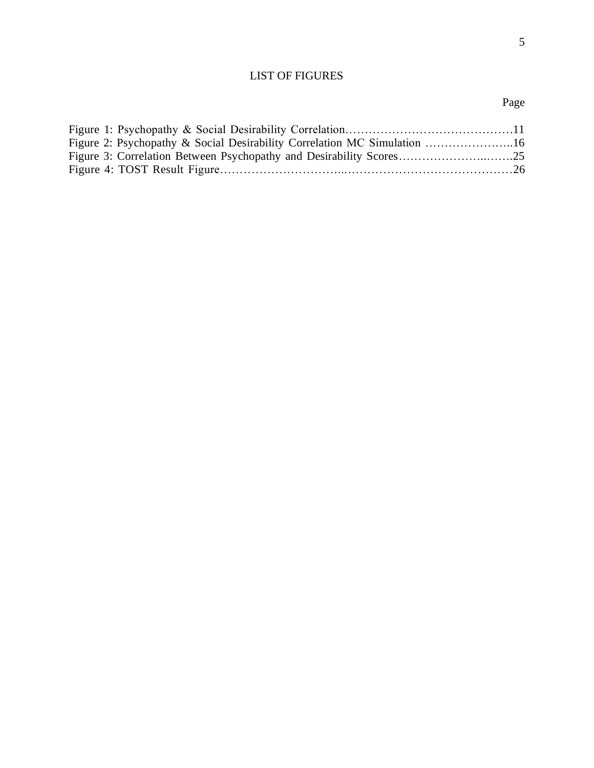# LIST OF FIGURES

# Page

| Figure 2: Psychopathy & Social Desirability Correlation MC Simulation 16 |  |
|--------------------------------------------------------------------------|--|
|                                                                          |  |
|                                                                          |  |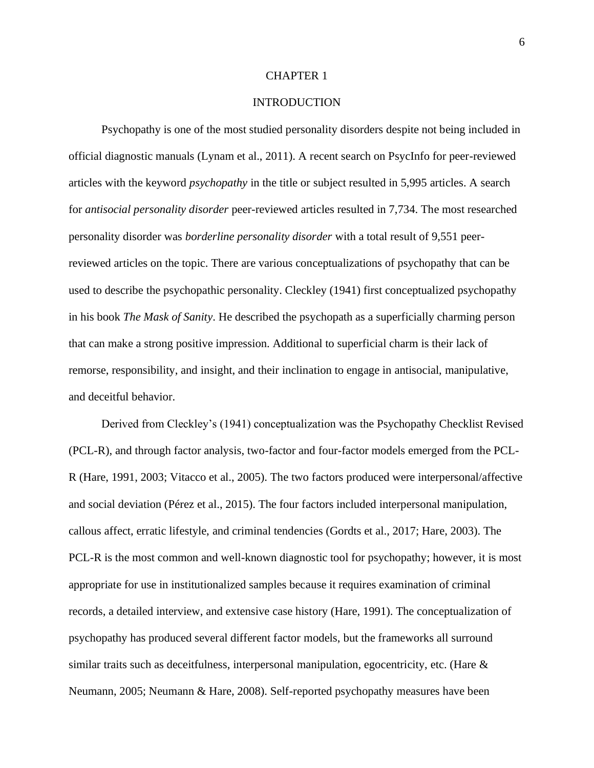#### CHAPTER 1

#### **INTRODUCTION**

Psychopathy is one of the most studied personality disorders despite not being included in official diagnostic manuals (Lynam et al., 2011). A recent search on PsycInfo for peer-reviewed articles with the keyword *psychopathy* in the title or subject resulted in 5,995 articles. A search for *antisocial personality disorder* peer-reviewed articles resulted in 7,734. The most researched personality disorder was *borderline personality disorder* with a total result of 9,551 peerreviewed articles on the topic. There are various conceptualizations of psychopathy that can be used to describe the psychopathic personality. Cleckley (1941) first conceptualized psychopathy in his book *The Mask of Sanity*. He described the psychopath as a superficially charming person that can make a strong positive impression. Additional to superficial charm is their lack of remorse, responsibility, and insight, and their inclination to engage in antisocial, manipulative, and deceitful behavior.

Derived from Cleckley's (1941) conceptualization was the Psychopathy Checklist Revised (PCL-R), and through factor analysis, two-factor and four-factor models emerged from the PCL-R (Hare, 1991, 2003; Vitacco et al., 2005). The two factors produced were interpersonal/affective and social deviation (Pérez et al., 2015). The four factors included interpersonal manipulation, callous affect, erratic lifestyle, and criminal tendencies (Gordts et al., 2017; Hare, 2003). The PCL-R is the most common and well-known diagnostic tool for psychopathy; however, it is most appropriate for use in institutionalized samples because it requires examination of criminal records, a detailed interview, and extensive case history (Hare, 1991). The conceptualization of psychopathy has produced several different factor models, but the frameworks all surround similar traits such as deceitfulness, interpersonal manipulation, egocentricity, etc. (Hare & Neumann, 2005; Neumann & Hare, 2008). Self-reported psychopathy measures have been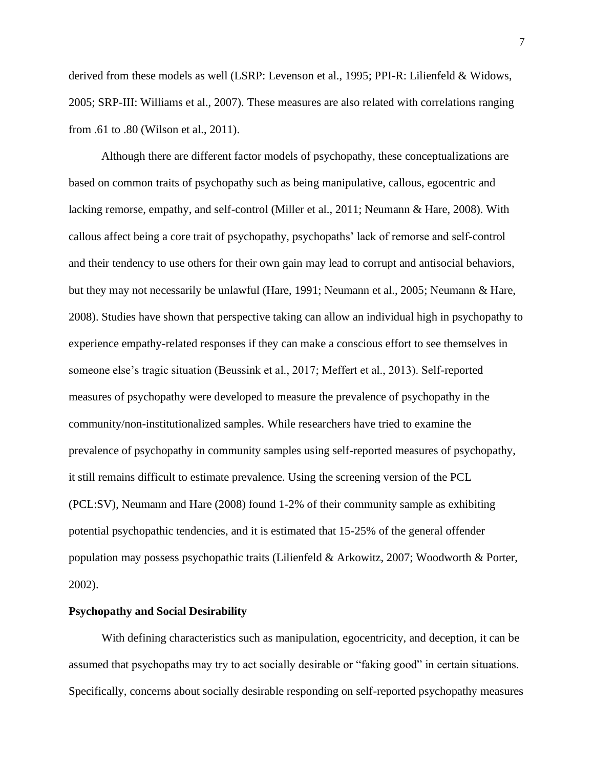derived from these models as well (LSRP: Levenson et al., 1995; PPI-R: Lilienfeld & Widows, 2005; SRP-III: Williams et al., 2007). These measures are also related with correlations ranging from .61 to .80 (Wilson et al., 2011).

Although there are different factor models of psychopathy, these conceptualizations are based on common traits of psychopathy such as being manipulative, callous, egocentric and lacking remorse, empathy, and self-control (Miller et al., 2011; Neumann & Hare, 2008). With callous affect being a core trait of psychopathy, psychopaths' lack of remorse and self-control and their tendency to use others for their own gain may lead to corrupt and antisocial behaviors, but they may not necessarily be unlawful (Hare, 1991; Neumann et al., 2005; Neumann & Hare, 2008). Studies have shown that perspective taking can allow an individual high in psychopathy to experience empathy-related responses if they can make a conscious effort to see themselves in someone else's tragic situation (Beussink et al., 2017; Meffert et al., 2013). Self-reported measures of psychopathy were developed to measure the prevalence of psychopathy in the community/non-institutionalized samples. While researchers have tried to examine the prevalence of psychopathy in community samples using self-reported measures of psychopathy, it still remains difficult to estimate prevalence. Using the screening version of the PCL (PCL:SV), Neumann and Hare (2008) found 1-2% of their community sample as exhibiting potential psychopathic tendencies, and it is estimated that 15-25% of the general offender population may possess psychopathic traits (Lilienfeld & Arkowitz, 2007; Woodworth & Porter, 2002).

#### **Psychopathy and Social Desirability**

With defining characteristics such as manipulation, egocentricity, and deception, it can be assumed that psychopaths may try to act socially desirable or "faking good" in certain situations. Specifically, concerns about socially desirable responding on self-reported psychopathy measures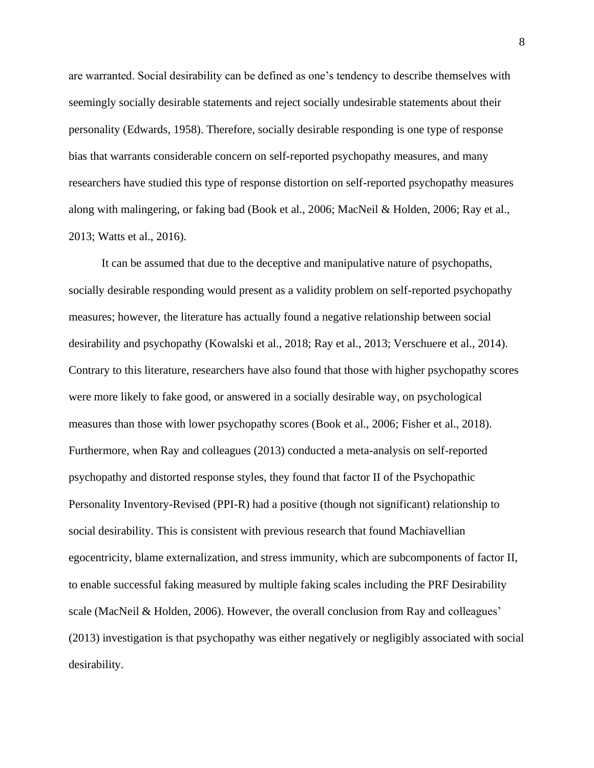are warranted. Social desirability can be defined as one's tendency to describe themselves with seemingly socially desirable statements and reject socially undesirable statements about their personality (Edwards, 1958). Therefore, socially desirable responding is one type of response bias that warrants considerable concern on self-reported psychopathy measures, and many researchers have studied this type of response distortion on self-reported psychopathy measures along with malingering, or faking bad (Book et al., 2006; MacNeil & Holden, 2006; Ray et al., 2013; Watts et al., 2016).

It can be assumed that due to the deceptive and manipulative nature of psychopaths, socially desirable responding would present as a validity problem on self-reported psychopathy measures; however, the literature has actually found a negative relationship between social desirability and psychopathy (Kowalski et al., 2018; Ray et al., 2013; Verschuere et al., 2014). Contrary to this literature, researchers have also found that those with higher psychopathy scores were more likely to fake good, or answered in a socially desirable way, on psychological measures than those with lower psychopathy scores (Book et al., 2006; Fisher et al., 2018). Furthermore, when Ray and colleagues (2013) conducted a meta-analysis on self-reported psychopathy and distorted response styles, they found that factor II of the Psychopathic Personality Inventory-Revised (PPI-R) had a positive (though not significant) relationship to social desirability. This is consistent with previous research that found Machiavellian egocentricity, blame externalization, and stress immunity, which are subcomponents of factor II, to enable successful faking measured by multiple faking scales including the PRF Desirability scale (MacNeil & Holden, 2006). However, the overall conclusion from Ray and colleagues' (2013) investigation is that psychopathy was either negatively or negligibly associated with social desirability.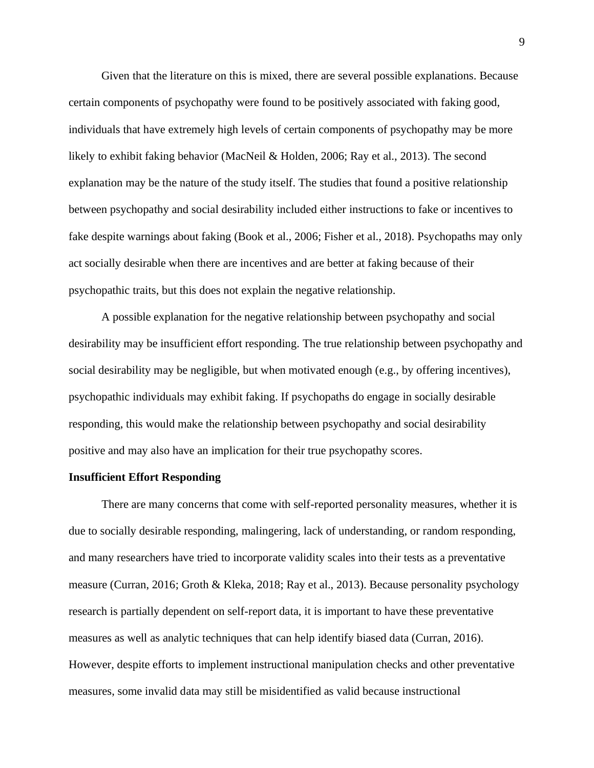Given that the literature on this is mixed, there are several possible explanations. Because certain components of psychopathy were found to be positively associated with faking good, individuals that have extremely high levels of certain components of psychopathy may be more likely to exhibit faking behavior (MacNeil & Holden, 2006; Ray et al., 2013). The second explanation may be the nature of the study itself. The studies that found a positive relationship between psychopathy and social desirability included either instructions to fake or incentives to fake despite warnings about faking (Book et al., 2006; Fisher et al., 2018). Psychopaths may only act socially desirable when there are incentives and are better at faking because of their psychopathic traits, but this does not explain the negative relationship.

A possible explanation for the negative relationship between psychopathy and social desirability may be insufficient effort responding. The true relationship between psychopathy and social desirability may be negligible, but when motivated enough (e.g., by offering incentives), psychopathic individuals may exhibit faking. If psychopaths do engage in socially desirable responding, this would make the relationship between psychopathy and social desirability positive and may also have an implication for their true psychopathy scores.

#### **Insufficient Effort Responding**

There are many concerns that come with self-reported personality measures, whether it is due to socially desirable responding, malingering, lack of understanding, or random responding, and many researchers have tried to incorporate validity scales into their tests as a preventative measure (Curran, 2016; Groth & Kleka, 2018; Ray et al., 2013). Because personality psychology research is partially dependent on self-report data, it is important to have these preventative measures as well as analytic techniques that can help identify biased data (Curran, 2016). However, despite efforts to implement instructional manipulation checks and other preventative measures, some invalid data may still be misidentified as valid because instructional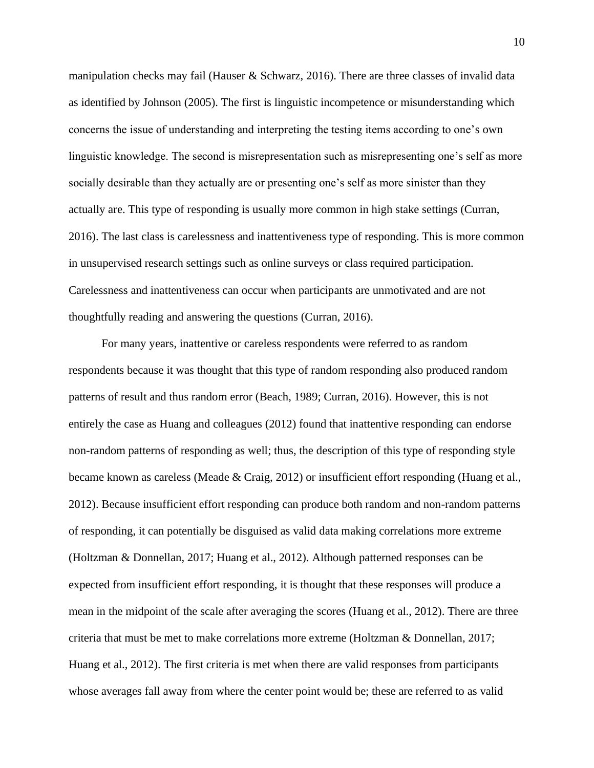manipulation checks may fail (Hauser & Schwarz, 2016). There are three classes of invalid data as identified by Johnson (2005). The first is linguistic incompetence or misunderstanding which concerns the issue of understanding and interpreting the testing items according to one's own linguistic knowledge. The second is misrepresentation such as misrepresenting one's self as more socially desirable than they actually are or presenting one's self as more sinister than they actually are. This type of responding is usually more common in high stake settings (Curran, 2016). The last class is carelessness and inattentiveness type of responding. This is more common in unsupervised research settings such as online surveys or class required participation. Carelessness and inattentiveness can occur when participants are unmotivated and are not thoughtfully reading and answering the questions (Curran, 2016).

For many years, inattentive or careless respondents were referred to as random respondents because it was thought that this type of random responding also produced random patterns of result and thus random error (Beach, 1989; Curran, 2016). However, this is not entirely the case as Huang and colleagues (2012) found that inattentive responding can endorse non-random patterns of responding as well; thus, the description of this type of responding style became known as careless (Meade & Craig, 2012) or insufficient effort responding (Huang et al., 2012). Because insufficient effort responding can produce both random and non-random patterns of responding, it can potentially be disguised as valid data making correlations more extreme (Holtzman & Donnellan, 2017; Huang et al., 2012). Although patterned responses can be expected from insufficient effort responding, it is thought that these responses will produce a mean in the midpoint of the scale after averaging the scores (Huang et al., 2012). There are three criteria that must be met to make correlations more extreme (Holtzman & Donnellan, 2017; Huang et al., 2012). The first criteria is met when there are valid responses from participants whose averages fall away from where the center point would be; these are referred to as valid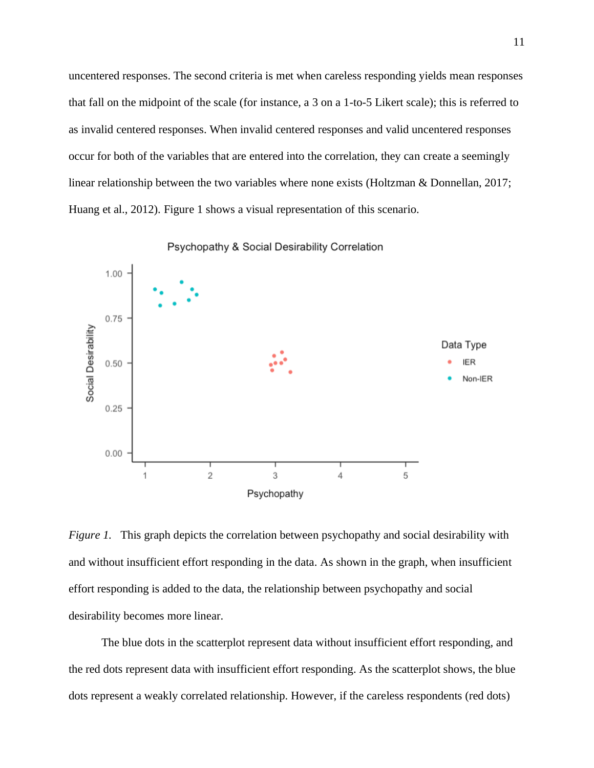uncentered responses. The second criteria is met when careless responding yields mean responses that fall on the midpoint of the scale (for instance, a 3 on a 1-to-5 Likert scale); this is referred to as invalid centered responses. When invalid centered responses and valid uncentered responses occur for both of the variables that are entered into the correlation, they can create a seemingly linear relationship between the two variables where none exists (Holtzman & Donnellan, 2017; Huang et al., 2012). Figure 1 shows a visual representation of this scenario.



Psychopathy & Social Desirability Correlation

*Figure 1.* This graph depicts the correlation between psychopathy and social desirability with and without insufficient effort responding in the data. As shown in the graph, when insufficient effort responding is added to the data, the relationship between psychopathy and social desirability becomes more linear.

The blue dots in the scatterplot represent data without insufficient effort responding, and the red dots represent data with insufficient effort responding. As the scatterplot shows, the blue dots represent a weakly correlated relationship. However, if the careless respondents (red dots)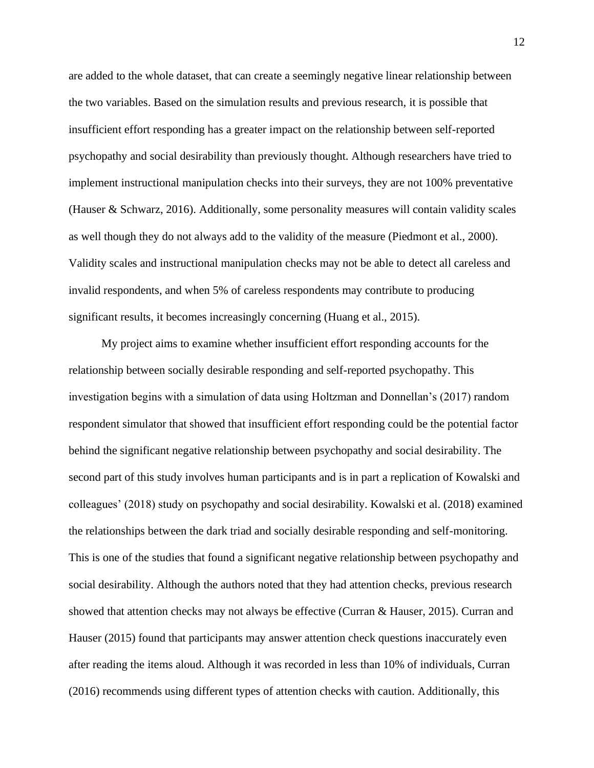are added to the whole dataset, that can create a seemingly negative linear relationship between the two variables. Based on the simulation results and previous research, it is possible that insufficient effort responding has a greater impact on the relationship between self-reported psychopathy and social desirability than previously thought. Although researchers have tried to implement instructional manipulation checks into their surveys, they are not 100% preventative (Hauser & Schwarz, 2016). Additionally, some personality measures will contain validity scales as well though they do not always add to the validity of the measure (Piedmont et al., 2000). Validity scales and instructional manipulation checks may not be able to detect all careless and invalid respondents, and when 5% of careless respondents may contribute to producing significant results, it becomes increasingly concerning (Huang et al., 2015).

My project aims to examine whether insufficient effort responding accounts for the relationship between socially desirable responding and self-reported psychopathy. This investigation begins with a simulation of data using Holtzman and Donnellan's (2017) random respondent simulator that showed that insufficient effort responding could be the potential factor behind the significant negative relationship between psychopathy and social desirability. The second part of this study involves human participants and is in part a replication of Kowalski and colleagues' (2018) study on psychopathy and social desirability. Kowalski et al. (2018) examined the relationships between the dark triad and socially desirable responding and self-monitoring. This is one of the studies that found a significant negative relationship between psychopathy and social desirability. Although the authors noted that they had attention checks, previous research showed that attention checks may not always be effective (Curran & Hauser, 2015). Curran and Hauser (2015) found that participants may answer attention check questions inaccurately even after reading the items aloud. Although it was recorded in less than 10% of individuals, Curran (2016) recommends using different types of attention checks with caution. Additionally, this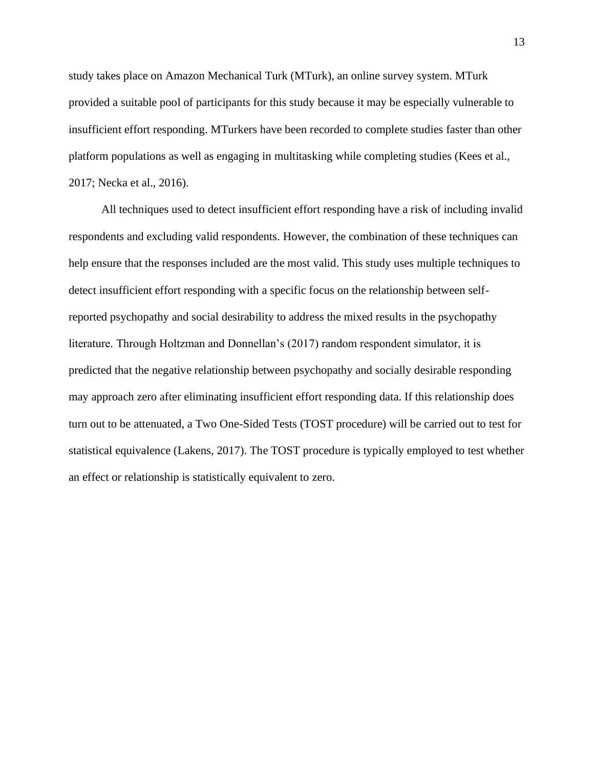study takes place on Amazon Mechanical Turk (MTurk), an online survey system. MTurk provided a suitable pool of participants for this study because it may be especially vulnerable to insufficient effort responding. MTurkers have been recorded to complete studies faster than other platform populations as well as engaging in multitasking while completing studies (Kees et al., 2017; Necka et al., 2016).

All techniques used to detect insufficient effort responding have a risk of including invalid respondents and excluding valid respondents. However, the combination of these techniques can help ensure that the responses included are the most valid. This study uses multiple techniques to detect insufficient effort responding with a specific focus on the relationship between selfreported psychopathy and social desirability to address the mixed results in the psychopathy literature. Through Holtzman and Donnellan's (2017) random respondent simulator, it is predicted that the negative relationship between psychopathy and socially desirable responding may approach zero after eliminating insufficient effort responding data. If this relationship does turn out to be attenuated, a Two One-Sided Tests (TOST procedure) will be carried out to test for statistical equivalence (Lakens, 2017). The TOST procedure is typically employed to test whether an effect or relationship is statistically equivalent to zero.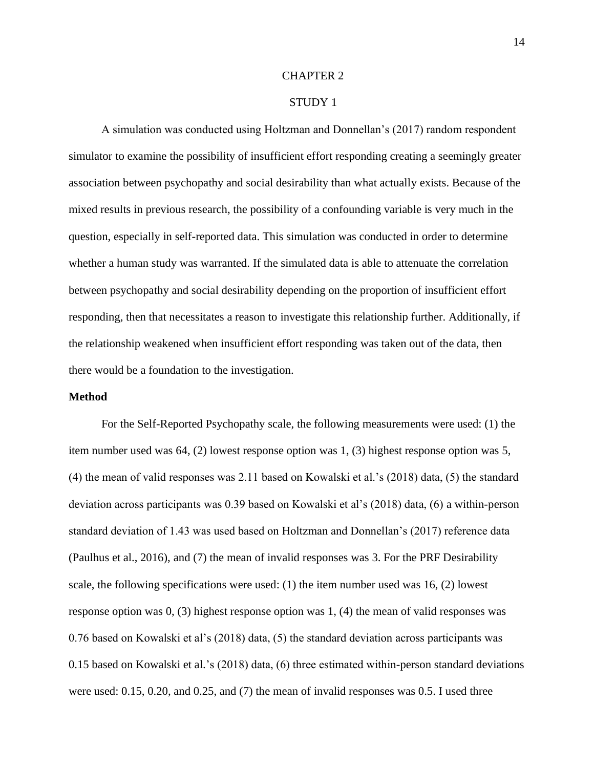#### CHAPTER 2

#### STUDY 1

A simulation was conducted using Holtzman and Donnellan's (2017) random respondent simulator to examine the possibility of insufficient effort responding creating a seemingly greater association between psychopathy and social desirability than what actually exists. Because of the mixed results in previous research, the possibility of a confounding variable is very much in the question, especially in self-reported data. This simulation was conducted in order to determine whether a human study was warranted. If the simulated data is able to attenuate the correlation between psychopathy and social desirability depending on the proportion of insufficient effort responding, then that necessitates a reason to investigate this relationship further. Additionally, if the relationship weakened when insufficient effort responding was taken out of the data, then there would be a foundation to the investigation.

#### **Method**

For the Self-Reported Psychopathy scale, the following measurements were used: (1) the item number used was 64, (2) lowest response option was 1, (3) highest response option was 5, (4) the mean of valid responses was 2.11 based on Kowalski et al.'s (2018) data, (5) the standard deviation across participants was 0.39 based on Kowalski et al's (2018) data, (6) a within-person standard deviation of 1.43 was used based on Holtzman and Donnellan's (2017) reference data (Paulhus et al., 2016), and (7) the mean of invalid responses was 3. For the PRF Desirability scale, the following specifications were used: (1) the item number used was 16, (2) lowest response option was 0, (3) highest response option was 1, (4) the mean of valid responses was 0.76 based on Kowalski et al's (2018) data, (5) the standard deviation across participants was 0.15 based on Kowalski et al.'s (2018) data, (6) three estimated within-person standard deviations were used: 0.15, 0.20, and 0.25, and (7) the mean of invalid responses was 0.5. I used three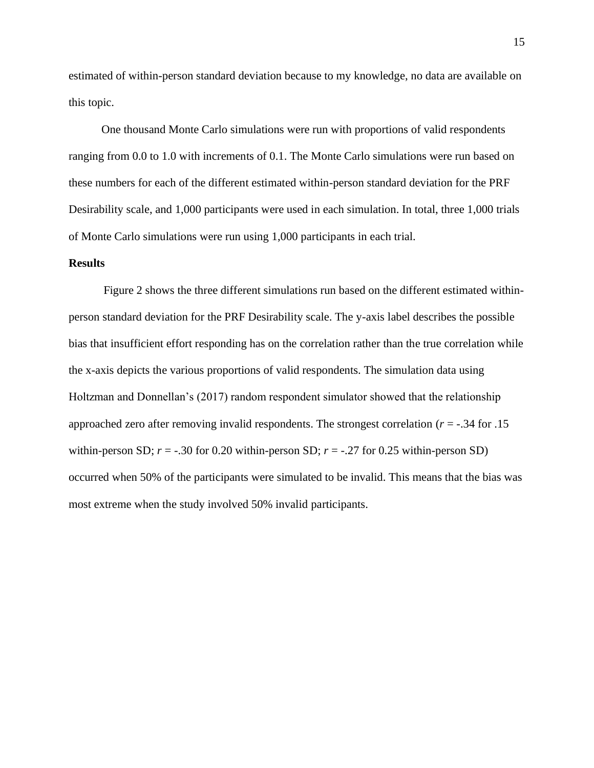estimated of within-person standard deviation because to my knowledge, no data are available on this topic.

One thousand Monte Carlo simulations were run with proportions of valid respondents ranging from 0.0 to 1.0 with increments of 0.1. The Monte Carlo simulations were run based on these numbers for each of the different estimated within-person standard deviation for the PRF Desirability scale, and 1,000 participants were used in each simulation. In total, three 1,000 trials of Monte Carlo simulations were run using 1,000 participants in each trial.

#### **Results**

Figure 2 shows the three different simulations run based on the different estimated withinperson standard deviation for the PRF Desirability scale. The y-axis label describes the possible bias that insufficient effort responding has on the correlation rather than the true correlation while the x-axis depicts the various proportions of valid respondents. The simulation data using Holtzman and Donnellan's (2017) random respondent simulator showed that the relationship approached zero after removing invalid respondents. The strongest correlation (*r* = -.34 for .15 within-person SD;  $r = -0.30$  for 0.20 within-person SD;  $r = -0.27$  for 0.25 within-person SD) occurred when 50% of the participants were simulated to be invalid. This means that the bias was most extreme when the study involved 50% invalid participants.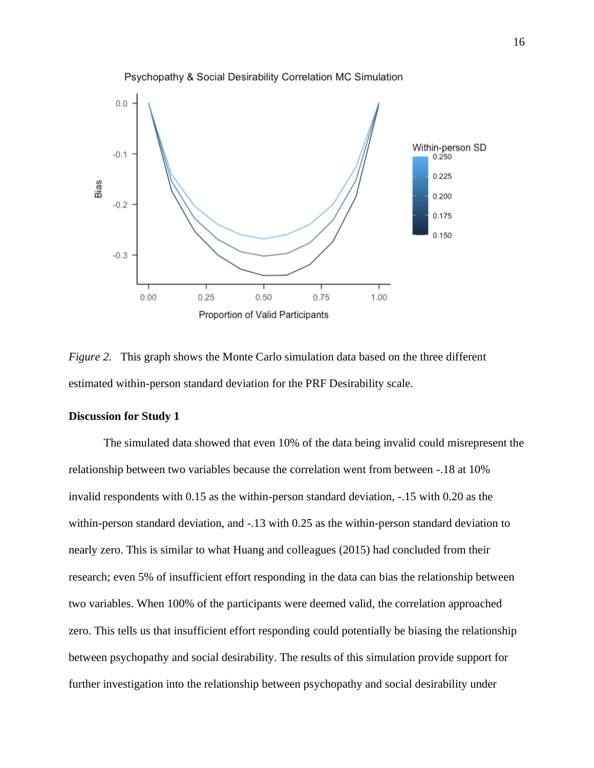

*Figure* 2. This graph shows the Monte Carlo simulation data based on the three different estimated within-person standard deviation for the PRF Desirability scale.

#### **Discussion for Study 1**

The simulated data showed that even 10% of the data being invalid could misrepresent the relationship between two variables because the correlation went from between -.18 at 10% invalid respondents with 0.15 as the within-person standard deviation, -.15 with 0.20 as the within-person standard deviation, and -.13 with 0.25 as the within-person standard deviation to nearly zero. This is similar to what Huang and colleagues (2015) had concluded from their research; even 5% of insufficient effort responding in the data can bias the relationship between two variables. When 100% of the participants were deemed valid, the correlation approached zero. This tells us that insufficient effort responding could potentially be biasing the relationship between psychopathy and social desirability. The results of this simulation provide support for further investigation into the relationship between psychopathy and social desirability under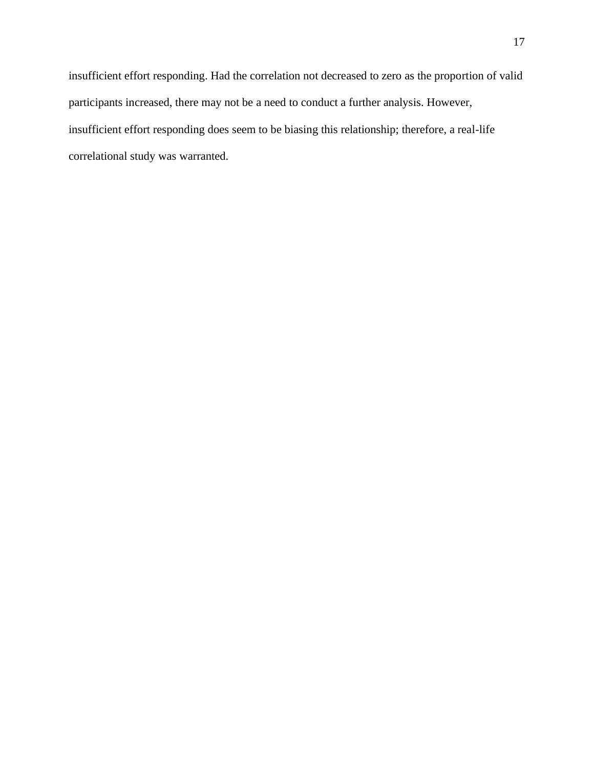insufficient effort responding. Had the correlation not decreased to zero as the proportion of valid participants increased, there may not be a need to conduct a further analysis. However, insufficient effort responding does seem to be biasing this relationship; therefore, a real-life correlational study was warranted.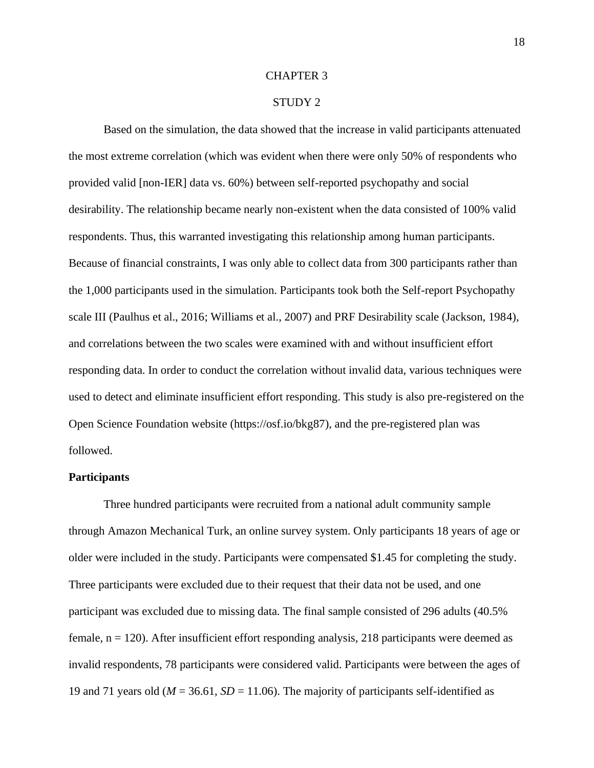#### CHAPTER 3

#### STUDY 2

Based on the simulation, the data showed that the increase in valid participants attenuated the most extreme correlation (which was evident when there were only 50% of respondents who provided valid [non-IER] data vs. 60%) between self-reported psychopathy and social desirability. The relationship became nearly non-existent when the data consisted of 100% valid respondents. Thus, this warranted investigating this relationship among human participants. Because of financial constraints, I was only able to collect data from 300 participants rather than the 1,000 participants used in the simulation. Participants took both the Self-report Psychopathy scale III (Paulhus et al., 2016; Williams et al., 2007) and PRF Desirability scale (Jackson, 1984), and correlations between the two scales were examined with and without insufficient effort responding data. In order to conduct the correlation without invalid data, various techniques were used to detect and eliminate insufficient effort responding. This study is also pre-registered on the Open Science Foundation website [\(https://osf.io/bkg87\)](https://osf.io/bkg87), and the pre-registered plan was followed.

#### **Participants**

Three hundred participants were recruited from a national adult community sample through Amazon Mechanical Turk, an online survey system. Only participants 18 years of age or older were included in the study. Participants were compensated \$1.45 for completing the study. Three participants were excluded due to their request that their data not be used, and one participant was excluded due to missing data. The final sample consisted of 296 adults (40.5% female,  $n = 120$ ). After insufficient effort responding analysis, 218 participants were deemed as invalid respondents, 78 participants were considered valid. Participants were between the ages of 19 and 71 years old ( $M = 36.61$ ,  $SD = 11.06$ ). The majority of participants self-identified as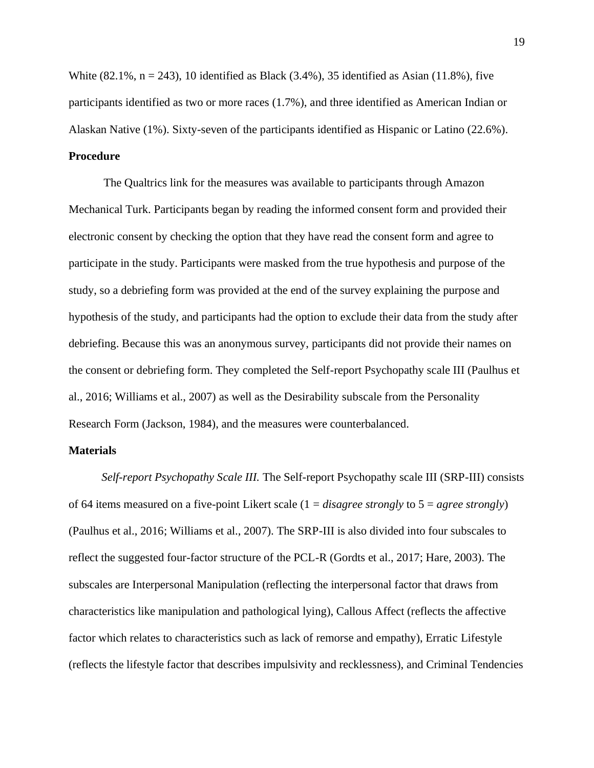White  $(82.1\% \, \text{n} = 243)$ , 10 identified as Black  $(3.4\%)$ , 35 identified as Asian  $(11.8\%)$ , five participants identified as two or more races (1.7%), and three identified as American Indian or Alaskan Native (1%). Sixty-seven of the participants identified as Hispanic or Latino (22.6%). **Procedure**

The Qualtrics link for the measures was available to participants through Amazon Mechanical Turk. Participants began by reading the informed consent form and provided their electronic consent by checking the option that they have read the consent form and agree to participate in the study. Participants were masked from the true hypothesis and purpose of the study, so a debriefing form was provided at the end of the survey explaining the purpose and hypothesis of the study, and participants had the option to exclude their data from the study after debriefing. Because this was an anonymous survey, participants did not provide their names on the consent or debriefing form. They completed the Self-report Psychopathy scale III (Paulhus et al., 2016; Williams et al., 2007) as well as the Desirability subscale from the Personality Research Form (Jackson, 1984), and the measures were counterbalanced.

#### **Materials**

*Self-report Psychopathy Scale III.* The Self-report Psychopathy scale III (SRP-III) consists of 64 items measured on a five-point Likert scale (1 = *disagree strongly* to 5 = *agree strongly*) (Paulhus et al., 2016; Williams et al., 2007). The SRP-III is also divided into four subscales to reflect the suggested four-factor structure of the PCL-R (Gordts et al., 2017; Hare, 2003). The subscales are Interpersonal Manipulation (reflecting the interpersonal factor that draws from characteristics like manipulation and pathological lying), Callous Affect (reflects the affective factor which relates to characteristics such as lack of remorse and empathy), Erratic Lifestyle (reflects the lifestyle factor that describes impulsivity and recklessness), and Criminal Tendencies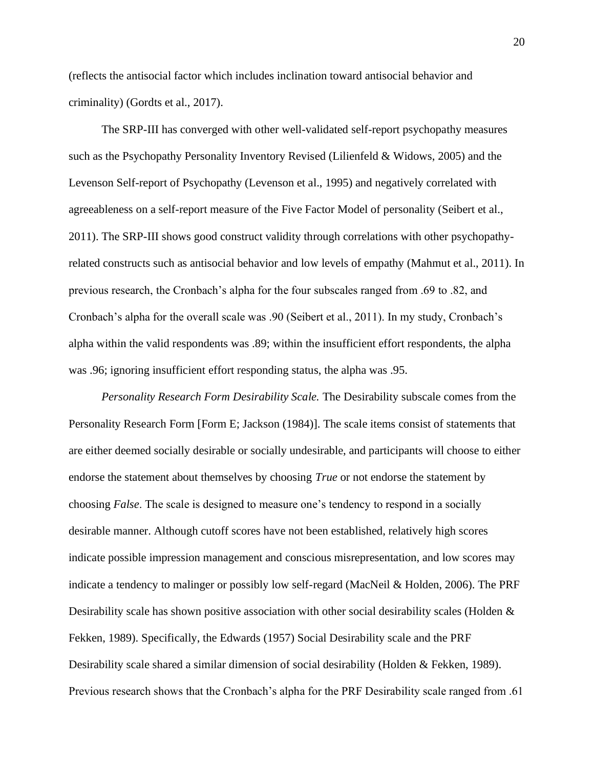(reflects the antisocial factor which includes inclination toward antisocial behavior and criminality) (Gordts et al., 2017).

The SRP-III has converged with other well-validated self-report psychopathy measures such as the Psychopathy Personality Inventory Revised (Lilienfeld & Widows, 2005) and the Levenson Self-report of Psychopathy (Levenson et al., 1995) and negatively correlated with agreeableness on a self-report measure of the Five Factor Model of personality (Seibert et al., 2011). The SRP-III shows good construct validity through correlations with other psychopathyrelated constructs such as antisocial behavior and low levels of empathy (Mahmut et al., 2011). In previous research, the Cronbach's alpha for the four subscales ranged from .69 to .82, and Cronbach's alpha for the overall scale was .90 (Seibert et al., 2011). In my study, Cronbach's alpha within the valid respondents was .89; within the insufficient effort respondents, the alpha was .96; ignoring insufficient effort responding status, the alpha was .95.

*Personality Research Form Desirability Scale.* The Desirability subscale comes from the Personality Research Form [Form E; Jackson (1984)]. The scale items consist of statements that are either deemed socially desirable or socially undesirable, and participants will choose to either endorse the statement about themselves by choosing *True* or not endorse the statement by choosing *False*. The scale is designed to measure one's tendency to respond in a socially desirable manner. Although cutoff scores have not been established, relatively high scores indicate possible impression management and conscious misrepresentation, and low scores may indicate a tendency to malinger or possibly low self-regard (MacNeil & Holden, 2006). The PRF Desirability scale has shown positive association with other social desirability scales (Holden  $\&$ Fekken, 1989). Specifically, the Edwards (1957) Social Desirability scale and the PRF Desirability scale shared a similar dimension of social desirability (Holden & Fekken, 1989). Previous research shows that the Cronbach's alpha for the PRF Desirability scale ranged from .61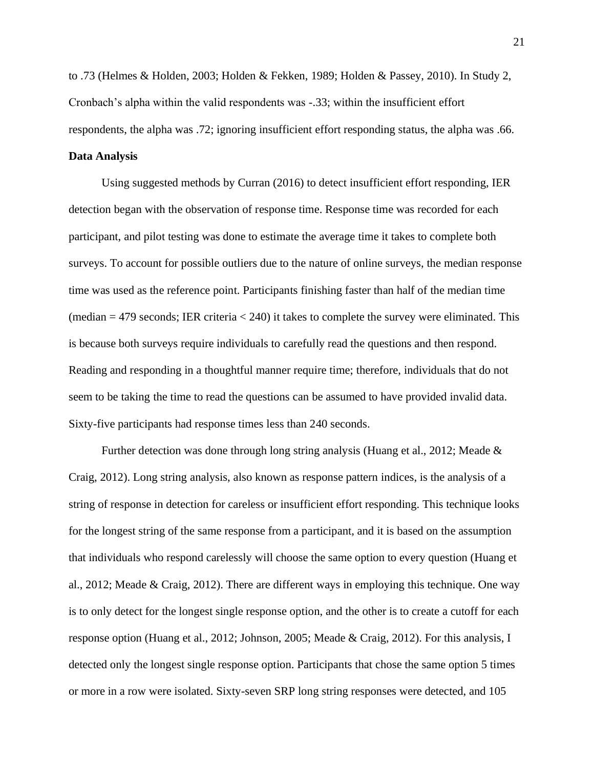to .73 (Helmes & Holden, 2003; Holden & Fekken, 1989; Holden & Passey, 2010). In Study 2, Cronbach's alpha within the valid respondents was -.33; within the insufficient effort respondents, the alpha was .72; ignoring insufficient effort responding status, the alpha was .66.

#### **Data Analysis**

Using suggested methods by Curran (2016) to detect insufficient effort responding, IER detection began with the observation of response time. Response time was recorded for each participant, and pilot testing was done to estimate the average time it takes to complete both surveys. To account for possible outliers due to the nature of online surveys, the median response time was used as the reference point. Participants finishing faster than half of the median time  $(median = 479$  seconds; IER criteria  $< 240$ ) it takes to complete the survey were eliminated. This is because both surveys require individuals to carefully read the questions and then respond. Reading and responding in a thoughtful manner require time; therefore, individuals that do not seem to be taking the time to read the questions can be assumed to have provided invalid data. Sixty-five participants had response times less than 240 seconds.

Further detection was done through long string analysis (Huang et al., 2012; Meade & Craig, 2012). Long string analysis, also known as response pattern indices, is the analysis of a string of response in detection for careless or insufficient effort responding. This technique looks for the longest string of the same response from a participant, and it is based on the assumption that individuals who respond carelessly will choose the same option to every question (Huang et al., 2012; Meade & Craig, 2012). There are different ways in employing this technique. One way is to only detect for the longest single response option, and the other is to create a cutoff for each response option (Huang et al., 2012; Johnson, 2005; Meade & Craig, 2012). For this analysis, I detected only the longest single response option. Participants that chose the same option 5 times or more in a row were isolated. Sixty-seven SRP long string responses were detected, and 105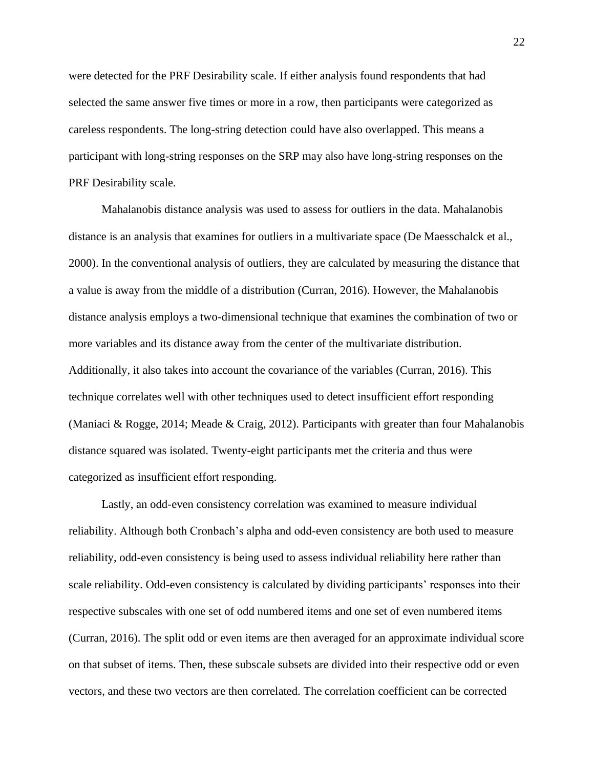were detected for the PRF Desirability scale. If either analysis found respondents that had selected the same answer five times or more in a row, then participants were categorized as careless respondents. The long-string detection could have also overlapped. This means a participant with long-string responses on the SRP may also have long-string responses on the PRF Desirability scale.

Mahalanobis distance analysis was used to assess for outliers in the data. Mahalanobis distance is an analysis that examines for outliers in a multivariate space (De Maesschalck et al., 2000). In the conventional analysis of outliers, they are calculated by measuring the distance that a value is away from the middle of a distribution (Curran, 2016). However, the Mahalanobis distance analysis employs a two-dimensional technique that examines the combination of two or more variables and its distance away from the center of the multivariate distribution. Additionally, it also takes into account the covariance of the variables (Curran, 2016). This technique correlates well with other techniques used to detect insufficient effort responding (Maniaci & Rogge, 2014; Meade & Craig, 2012). Participants with greater than four Mahalanobis distance squared was isolated. Twenty-eight participants met the criteria and thus were categorized as insufficient effort responding.

Lastly, an odd-even consistency correlation was examined to measure individual reliability. Although both Cronbach's alpha and odd-even consistency are both used to measure reliability, odd-even consistency is being used to assess individual reliability here rather than scale reliability. Odd-even consistency is calculated by dividing participants' responses into their respective subscales with one set of odd numbered items and one set of even numbered items (Curran, 2016). The split odd or even items are then averaged for an approximate individual score on that subset of items. Then, these subscale subsets are divided into their respective odd or even vectors, and these two vectors are then correlated. The correlation coefficient can be corrected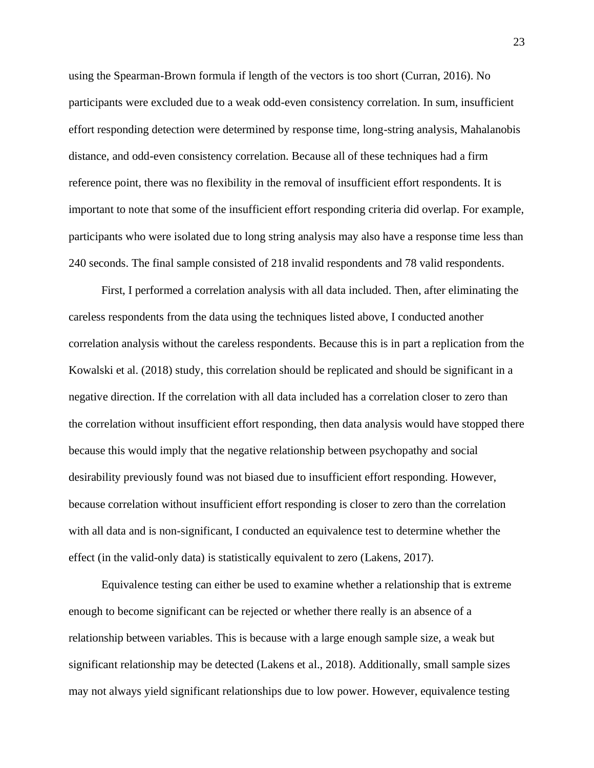using the Spearman-Brown formula if length of the vectors is too short (Curran, 2016). No participants were excluded due to a weak odd-even consistency correlation. In sum, insufficient effort responding detection were determined by response time, long-string analysis, Mahalanobis distance, and odd-even consistency correlation. Because all of these techniques had a firm reference point, there was no flexibility in the removal of insufficient effort respondents. It is important to note that some of the insufficient effort responding criteria did overlap. For example, participants who were isolated due to long string analysis may also have a response time less than 240 seconds. The final sample consisted of 218 invalid respondents and 78 valid respondents.

First, I performed a correlation analysis with all data included. Then, after eliminating the careless respondents from the data using the techniques listed above, I conducted another correlation analysis without the careless respondents. Because this is in part a replication from the Kowalski et al. (2018) study, this correlation should be replicated and should be significant in a negative direction. If the correlation with all data included has a correlation closer to zero than the correlation without insufficient effort responding, then data analysis would have stopped there because this would imply that the negative relationship between psychopathy and social desirability previously found was not biased due to insufficient effort responding. However, because correlation without insufficient effort responding is closer to zero than the correlation with all data and is non-significant, I conducted an equivalence test to determine whether the effect (in the valid-only data) is statistically equivalent to zero (Lakens, 2017).

Equivalence testing can either be used to examine whether a relationship that is extreme enough to become significant can be rejected or whether there really is an absence of a relationship between variables. This is because with a large enough sample size, a weak but significant relationship may be detected (Lakens et al., 2018). Additionally, small sample sizes may not always yield significant relationships due to low power. However, equivalence testing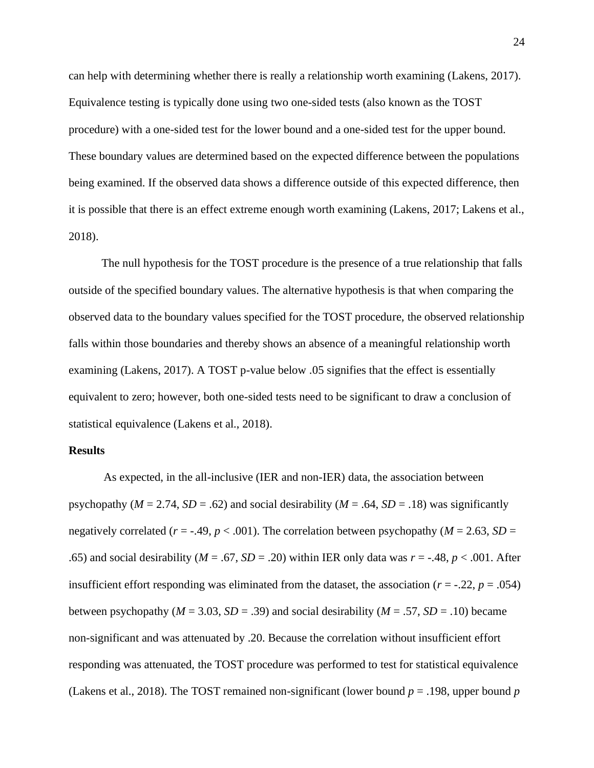can help with determining whether there is really a relationship worth examining (Lakens, 2017). Equivalence testing is typically done using two one-sided tests (also known as the TOST procedure) with a one-sided test for the lower bound and a one-sided test for the upper bound. These boundary values are determined based on the expected difference between the populations being examined. If the observed data shows a difference outside of this expected difference, then it is possible that there is an effect extreme enough worth examining (Lakens, 2017; Lakens et al., 2018).

The null hypothesis for the TOST procedure is the presence of a true relationship that falls outside of the specified boundary values. The alternative hypothesis is that when comparing the observed data to the boundary values specified for the TOST procedure, the observed relationship falls within those boundaries and thereby shows an absence of a meaningful relationship worth examining (Lakens, 2017). A TOST p-value below .05 signifies that the effect is essentially equivalent to zero; however, both one-sided tests need to be significant to draw a conclusion of statistical equivalence (Lakens et al., 2018).

#### **Results**

As expected, in the all-inclusive (IER and non-IER) data, the association between psychopathy ( $M = 2.74$ ,  $SD = .62$ ) and social desirability ( $M = .64$ ,  $SD = .18$ ) was significantly negatively correlated ( $r = -.49$ ,  $p < .001$ ). The correlation between psychopathy ( $M = 2.63$ ,  $SD =$ .65) and social desirability ( $M = .67$ ,  $SD = .20$ ) within IER only data was  $r = -.48$ ,  $p < .001$ . After insufficient effort responding was eliminated from the dataset, the association ( $r = -.22$ ,  $p = .054$ ) between psychopathy ( $M = 3.03$ ,  $SD = .39$ ) and social desirability ( $M = .57$ ,  $SD = .10$ ) became non-significant and was attenuated by .20. Because the correlation without insufficient effort responding was attenuated, the TOST procedure was performed to test for statistical equivalence (Lakens et al., 2018). The TOST remained non-significant (lower bound  $p = .198$ , upper bound  $p$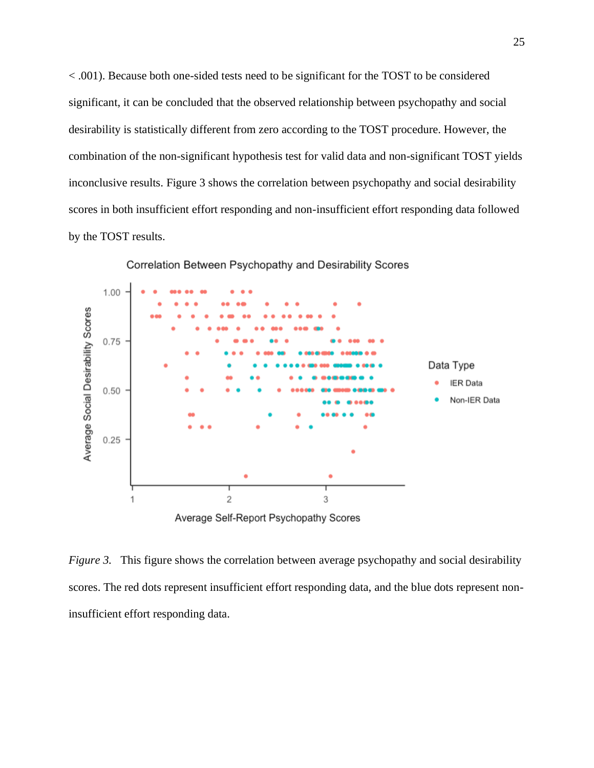< .001). Because both one-sided tests need to be significant for the TOST to be considered significant, it can be concluded that the observed relationship between psychopathy and social desirability is statistically different from zero according to the TOST procedure. However, the combination of the non-significant hypothesis test for valid data and non-significant TOST yields inconclusive results. Figure 3 shows the correlation between psychopathy and social desirability scores in both insufficient effort responding and non-insufficient effort responding data followed by the TOST results.



Correlation Between Psychopathy and Desirability Scores

*Figure* 3. This figure shows the correlation between average psychopathy and social desirability scores. The red dots represent insufficient effort responding data, and the blue dots represent noninsufficient effort responding data.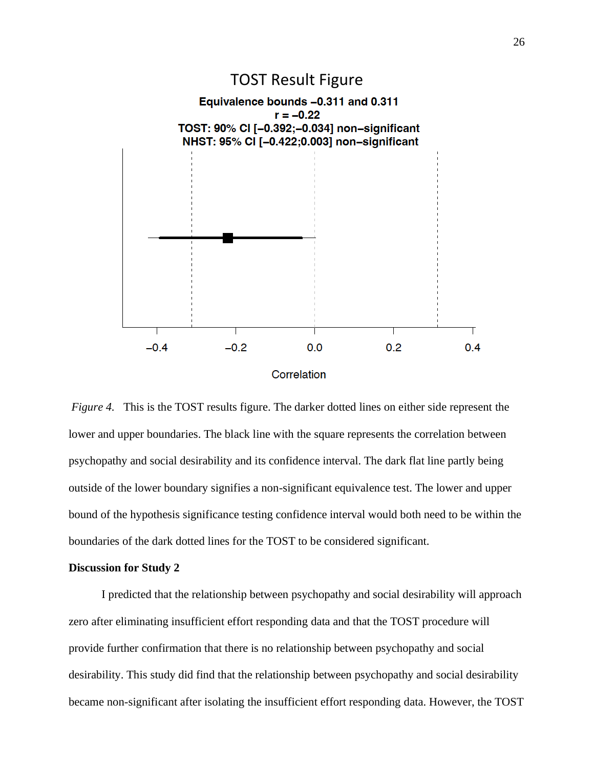

#### Correlation

*Figure 4.* This is the TOST results figure. The darker dotted lines on either side represent the lower and upper boundaries. The black line with the square represents the correlation between psychopathy and social desirability and its confidence interval. The dark flat line partly being outside of the lower boundary signifies a non-significant equivalence test. The lower and upper bound of the hypothesis significance testing confidence interval would both need to be within the boundaries of the dark dotted lines for the TOST to be considered significant.

#### **Discussion for Study 2**

I predicted that the relationship between psychopathy and social desirability will approach zero after eliminating insufficient effort responding data and that the TOST procedure will provide further confirmation that there is no relationship between psychopathy and social desirability. This study did find that the relationship between psychopathy and social desirability became non-significant after isolating the insufficient effort responding data. However, the TOST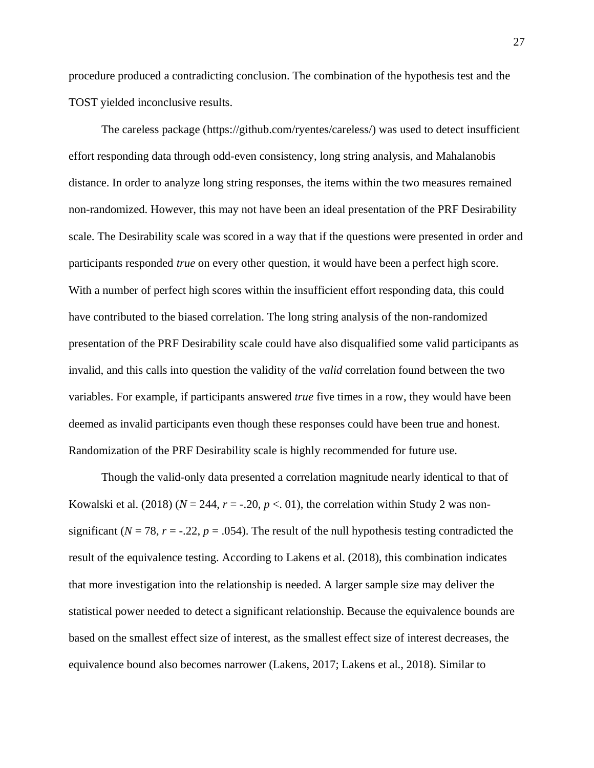procedure produced a contradicting conclusion. The combination of the hypothesis test and the TOST yielded inconclusive results.

The careless package [\(https://github.com/ryentes/careless/\)](https://github.com/ryentes/careless/) was used to detect insufficient effort responding data through odd-even consistency, long string analysis, and Mahalanobis distance. In order to analyze long string responses, the items within the two measures remained non-randomized. However, this may not have been an ideal presentation of the PRF Desirability scale. The Desirability scale was scored in a way that if the questions were presented in order and participants responded *true* on every other question, it would have been a perfect high score. With a number of perfect high scores within the insufficient effort responding data, this could have contributed to the biased correlation. The long string analysis of the non-randomized presentation of the PRF Desirability scale could have also disqualified some valid participants as invalid, and this calls into question the validity of the *valid* correlation found between the two variables. For example, if participants answered *true* five times in a row, they would have been deemed as invalid participants even though these responses could have been true and honest. Randomization of the PRF Desirability scale is highly recommended for future use.

Though the valid-only data presented a correlation magnitude nearly identical to that of Kowalski et al. (2018) ( $N = 244$ ,  $r = -.20$ ,  $p < .01$ ), the correlation within Study 2 was nonsignificant ( $N = 78$ ,  $r = -.22$ ,  $p = .054$ ). The result of the null hypothesis testing contradicted the result of the equivalence testing. According to Lakens et al. (2018), this combination indicates that more investigation into the relationship is needed. A larger sample size may deliver the statistical power needed to detect a significant relationship. Because the equivalence bounds are based on the smallest effect size of interest, as the smallest effect size of interest decreases, the equivalence bound also becomes narrower (Lakens, 2017; Lakens et al., 2018). Similar to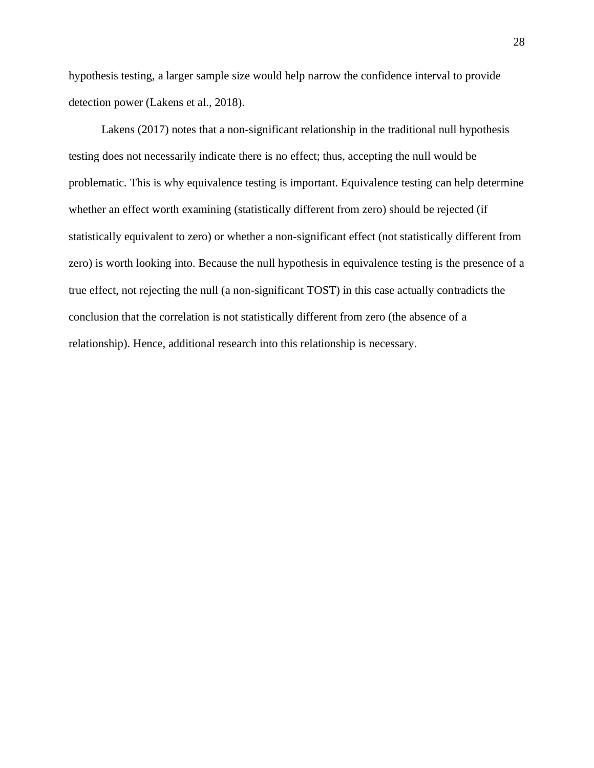hypothesis testing, a larger sample size would help narrow the confidence interval to provide detection power (Lakens et al., 2018).

Lakens (2017) notes that a non-significant relationship in the traditional null hypothesis testing does not necessarily indicate there is no effect; thus, accepting the null would be problematic. This is why equivalence testing is important. Equivalence testing can help determine whether an effect worth examining (statistically different from zero) should be rejected (if statistically equivalent to zero) or whether a non-significant effect (not statistically different from zero) is worth looking into. Because the null hypothesis in equivalence testing is the presence of a true effect, not rejecting the null (a non-significant TOST) in this case actually contradicts the conclusion that the correlation is not statistically different from zero (the absence of a relationship). Hence, additional research into this relationship is necessary.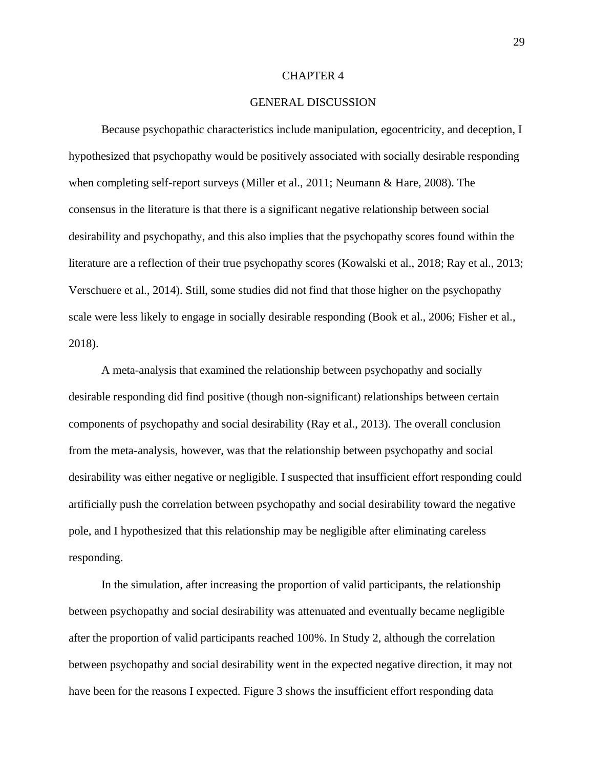#### CHAPTER 4

#### GENERAL DISCUSSION

Because psychopathic characteristics include manipulation, egocentricity, and deception, I hypothesized that psychopathy would be positively associated with socially desirable responding when completing self-report surveys (Miller et al., 2011; Neumann & Hare, 2008). The consensus in the literature is that there is a significant negative relationship between social desirability and psychopathy, and this also implies that the psychopathy scores found within the literature are a reflection of their true psychopathy scores (Kowalski et al., 2018; Ray et al., 2013; Verschuere et al., 2014). Still, some studies did not find that those higher on the psychopathy scale were less likely to engage in socially desirable responding (Book et al., 2006; Fisher et al., 2018).

A meta-analysis that examined the relationship between psychopathy and socially desirable responding did find positive (though non-significant) relationships between certain components of psychopathy and social desirability (Ray et al., 2013). The overall conclusion from the meta-analysis, however, was that the relationship between psychopathy and social desirability was either negative or negligible. I suspected that insufficient effort responding could artificially push the correlation between psychopathy and social desirability toward the negative pole, and I hypothesized that this relationship may be negligible after eliminating careless responding.

In the simulation, after increasing the proportion of valid participants, the relationship between psychopathy and social desirability was attenuated and eventually became negligible after the proportion of valid participants reached 100%. In Study 2, although the correlation between psychopathy and social desirability went in the expected negative direction, it may not have been for the reasons I expected. Figure 3 shows the insufficient effort responding data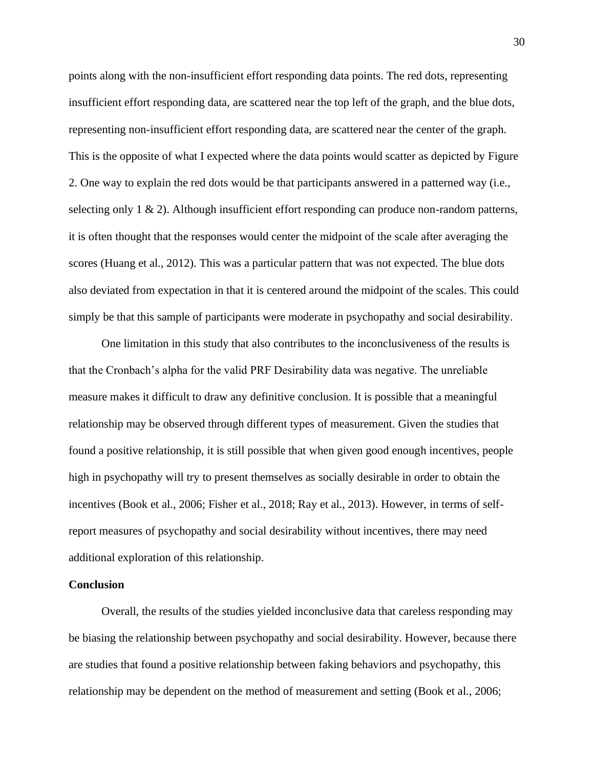points along with the non-insufficient effort responding data points. The red dots, representing insufficient effort responding data, are scattered near the top left of the graph, and the blue dots, representing non-insufficient effort responding data, are scattered near the center of the graph. This is the opposite of what I expected where the data points would scatter as depicted by Figure 2. One way to explain the red dots would be that participants answered in a patterned way (i.e., selecting only 1 & 2). Although insufficient effort responding can produce non-random patterns, it is often thought that the responses would center the midpoint of the scale after averaging the scores (Huang et al., 2012). This was a particular pattern that was not expected. The blue dots also deviated from expectation in that it is centered around the midpoint of the scales. This could simply be that this sample of participants were moderate in psychopathy and social desirability.

One limitation in this study that also contributes to the inconclusiveness of the results is that the Cronbach's alpha for the valid PRF Desirability data was negative. The unreliable measure makes it difficult to draw any definitive conclusion. It is possible that a meaningful relationship may be observed through different types of measurement. Given the studies that found a positive relationship, it is still possible that when given good enough incentives, people high in psychopathy will try to present themselves as socially desirable in order to obtain the incentives (Book et al., 2006; Fisher et al., 2018; Ray et al., 2013). However, in terms of selfreport measures of psychopathy and social desirability without incentives, there may need additional exploration of this relationship.

#### **Conclusion**

Overall, the results of the studies yielded inconclusive data that careless responding may be biasing the relationship between psychopathy and social desirability. However, because there are studies that found a positive relationship between faking behaviors and psychopathy, this relationship may be dependent on the method of measurement and setting (Book et al., 2006;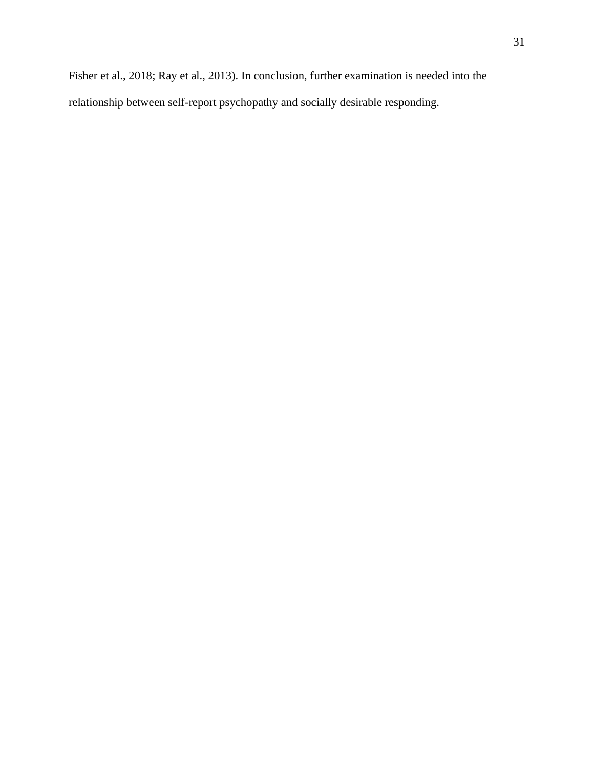31

Fisher et al., 2018; Ray et al., 2013). In conclusion, further examination is needed into the relationship between self-report psychopathy and socially desirable responding.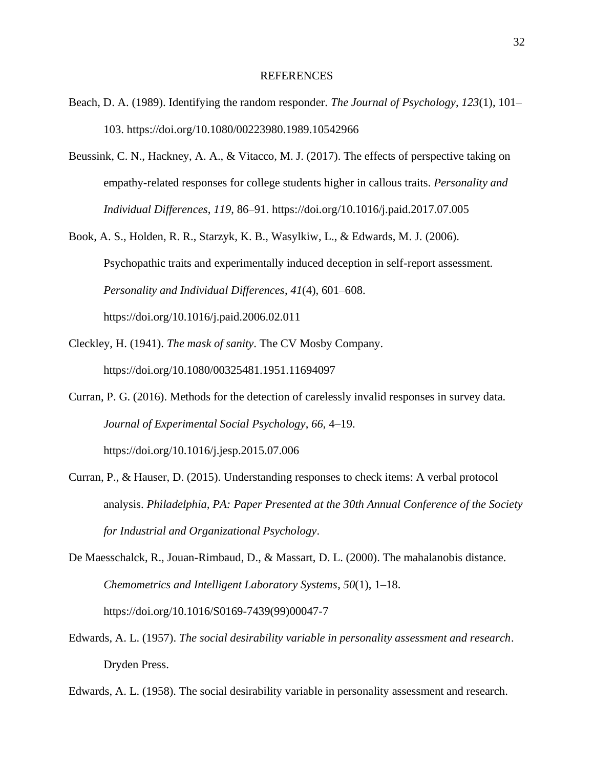#### **REFERENCES**

- Beach, D. A. (1989). Identifying the random responder. *The Journal of Psychology*, *123*(1), 101– 103.<https://doi.org/10.1080/00223980.1989.10542966>
- Beussink, C. N., Hackney, A. A., & Vitacco, M. J. (2017). The effects of perspective taking on empathy-related responses for college students higher in callous traits. *Personality and Individual Differences*, *119*, 86–91.<https://doi.org/10.1016/j.paid.2017.07.005>
- Book, A. S., Holden, R. R., Starzyk, K. B., Wasylkiw, L., & Edwards, M. J. (2006). Psychopathic traits and experimentally induced deception in self-report assessment. *Personality and Individual Differences*, *41*(4), 601–608. <https://doi.org/10.1016/j.paid.2006.02.011>
- Cleckley, H. (1941). *The mask of sanity*. The CV Mosby Company. <https://doi.org/10.1080/00325481.1951.11694097>
- Curran, P. G. (2016). Methods for the detection of carelessly invalid responses in survey data. *Journal of Experimental Social Psychology*, *66*, 4–19. <https://doi.org/10.1016/j.jesp.2015.07.006>
- Curran, P., & Hauser, D. (2015). Understanding responses to check items: A verbal protocol analysis. *Philadelphia, PA: Paper Presented at the 30th Annual Conference of the Society for Industrial and Organizational Psychology*.
- De Maesschalck, R., Jouan-Rimbaud, D., & Massart, D. L. (2000). The mahalanobis distance. *Chemometrics and Intelligent Laboratory Systems*, *50*(1), 1–18. [https://doi.org/10.1016/S0169-7439\(99\)00047-7](https://doi.org/10.1016/S0169-7439(99)00047-7)
- Edwards, A. L. (1957). *The social desirability variable in personality assessment and research*. Dryden Press.
- Edwards, A. L. (1958). The social desirability variable in personality assessment and research.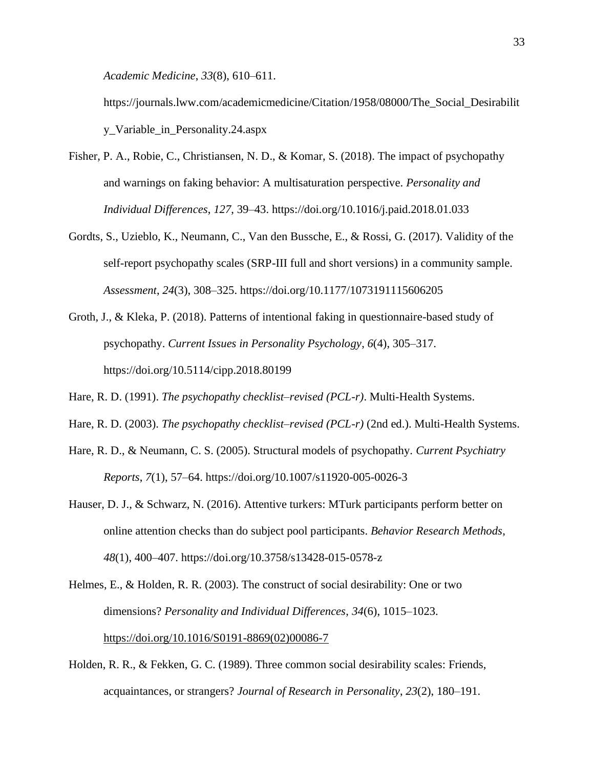*Academic Medicine*, *33*(8), 610–611.

[https://journals.lww.com/academicmedicine/Citation/1958/08000/The\\_Social\\_Desirabilit](https://journals.lww.com/academicmedicine/Citation/1958/08000/The_Social_Desirability_Variable_in_Personality.24.aspx) [y\\_Variable\\_in\\_Personality.24.aspx](https://journals.lww.com/academicmedicine/Citation/1958/08000/The_Social_Desirability_Variable_in_Personality.24.aspx)

- Fisher, P. A., Robie, C., Christiansen, N. D., & Komar, S. (2018). The impact of psychopathy and warnings on faking behavior: A multisaturation perspective. *Personality and Individual Differences*, *127*, 39–43.<https://doi.org/10.1016/j.paid.2018.01.033>
- Gordts, S., Uzieblo, K., Neumann, C., Van den Bussche, E., & Rossi, G. (2017). Validity of the self-report psychopathy scales (SRP-III full and short versions) in a community sample. *Assessment*, *24*(3), 308–325.<https://doi.org/10.1177/1073191115606205>
- Groth, J., & Kleka, P. (2018). Patterns of intentional faking in questionnaire-based study of psychopathy. *Current Issues in Personality Psychology*, *6*(4), 305–317. <https://doi.org/10.5114/cipp.2018.80199>
- Hare, R. D. (1991). *The psychopathy checklist–revised (PCL-r)*. Multi-Health Systems.
- Hare, R. D. (2003). *The psychopathy checklist–revised (PCL-r)* (2nd ed.). Multi-Health Systems.
- Hare, R. D., & Neumann, C. S. (2005). Structural models of psychopathy. *Current Psychiatry Reports*, *7*(1), 57–64.<https://doi.org/10.1007/s11920-005-0026-3>
- Hauser, D. J., & Schwarz, N. (2016). Attentive turkers: MTurk participants perform better on online attention checks than do subject pool participants. *Behavior Research Methods*, *48*(1), 400–407.<https://doi.org/10.3758/s13428-015-0578-z>
- Helmes, E., & Holden, R. R. (2003). The construct of social desirability: One or two dimensions? *Personality and Individual Differences*, *34*(6), 1015–1023. [https://doi.org/10.1016/S0191-8869\(02\)00086-7](https://doi.org/10.1016/S0191-8869(02)00086-7)
- Holden, R. R., & Fekken, G. C. (1989). Three common social desirability scales: Friends, acquaintances, or strangers? *Journal of Research in Personality*, *23*(2), 180–191.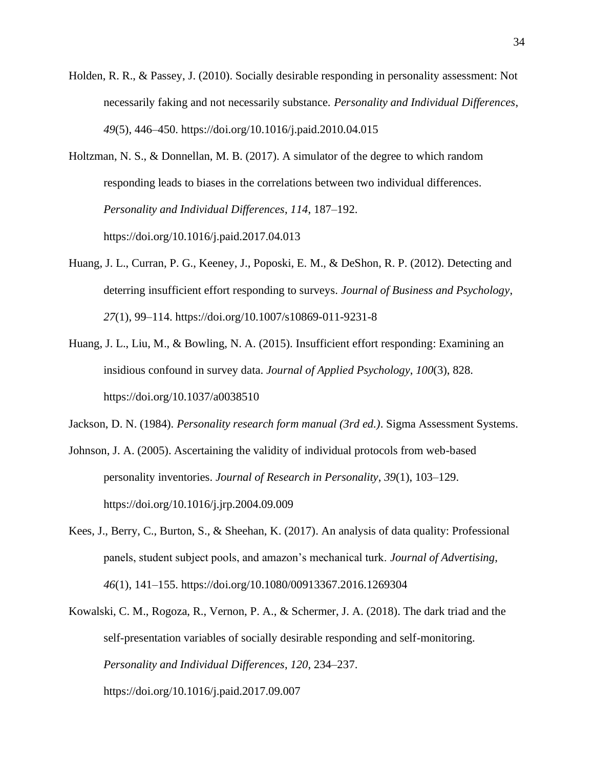- Holden, R. R., & Passey, J. (2010). Socially desirable responding in personality assessment: Not necessarily faking and not necessarily substance. *Personality and Individual Differences*, *49*(5), 446–450.<https://doi.org/10.1016/j.paid.2010.04.015>
- Holtzman, N. S., & Donnellan, M. B. (2017). A simulator of the degree to which random responding leads to biases in the correlations between two individual differences. *Personality and Individual Differences*, *114*, 187–192. <https://doi.org/10.1016/j.paid.2017.04.013>
- Huang, J. L., Curran, P. G., Keeney, J., Poposki, E. M., & DeShon, R. P. (2012). Detecting and deterring insufficient effort responding to surveys. *Journal of Business and Psychology*, *27*(1), 99–114.<https://doi.org/10.1007/s10869-011-9231-8>
- Huang, J. L., Liu, M., & Bowling, N. A. (2015). Insufficient effort responding: Examining an insidious confound in survey data. *Journal of Applied Psychology*, *100*(3), 828. <https://doi.org/10.1037/a0038510>

Jackson, D. N. (1984). *Personality research form manual (3rd ed.)*. Sigma Assessment Systems.

- Johnson, J. A. (2005). Ascertaining the validity of individual protocols from web-based personality inventories. *Journal of Research in Personality*, *39*(1), 103–129. <https://doi.org/10.1016/j.jrp.2004.09.009>
- Kees, J., Berry, C., Burton, S., & Sheehan, K. (2017). An analysis of data quality: Professional panels, student subject pools, and amazon's mechanical turk. *Journal of Advertising*, *46*(1), 141–155.<https://doi.org/10.1080/00913367.2016.1269304>
- Kowalski, C. M., Rogoza, R., Vernon, P. A., & Schermer, J. A. (2018). The dark triad and the self-presentation variables of socially desirable responding and self-monitoring. *Personality and Individual Differences*, *120*, 234–237. <https://doi.org/10.1016/j.paid.2017.09.007>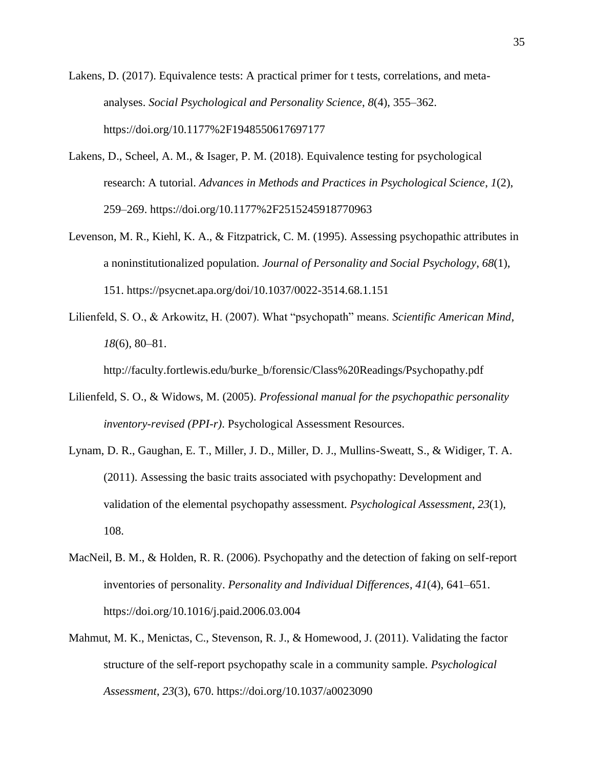Lakens, D. (2017). Equivalence tests: A practical primer for t tests, correlations, and metaanalyses. *Social Psychological and Personality Science*, *8*(4), 355–362. <https://doi.org/10.1177%2F1948550617697177>

- Lakens, D., Scheel, A. M., & Isager, P. M. (2018). Equivalence testing for psychological research: A tutorial. *Advances in Methods and Practices in Psychological Science*, *1*(2), 259–269.<https://doi.org/10.1177%2F2515245918770963>
- Levenson, M. R., Kiehl, K. A., & Fitzpatrick, C. M. (1995). Assessing psychopathic attributes in a noninstitutionalized population. *Journal of Personality and Social Psychology*, *68*(1), 151.<https://psycnet.apa.org/doi/10.1037/0022-3514.68.1.151>
- Lilienfeld, S. O., & Arkowitz, H. (2007). What "psychopath" means. *Scientific American Mind*, *18*(6), 80–81.

[http://faculty.fortlewis.edu/burke\\_b/forensic/Class%20Readings/Psychopathy.pdf](http://faculty.fortlewis.edu/burke_b/forensic/Class%20Readings/Psychopathy.pdf)

- Lilienfeld, S. O., & Widows, M. (2005). *Professional manual for the psychopathic personality inventory-revised (PPI-r)*. Psychological Assessment Resources.
- Lynam, D. R., Gaughan, E. T., Miller, J. D., Miller, D. J., Mullins-Sweatt, S., & Widiger, T. A. (2011). Assessing the basic traits associated with psychopathy: Development and validation of the elemental psychopathy assessment. *Psychological Assessment*, *23*(1), 108.
- MacNeil, B. M., & Holden, R. R. (2006). Psychopathy and the detection of faking on self-report inventories of personality. *Personality and Individual Differences*, *41*(4), 641–651. <https://doi.org/10.1016/j.paid.2006.03.004>
- Mahmut, M. K., Menictas, C., Stevenson, R. J., & Homewood, J. (2011). Validating the factor structure of the self-report psychopathy scale in a community sample. *Psychological Assessment*, *23*(3), 670.<https://doi.org/10.1037/a0023090>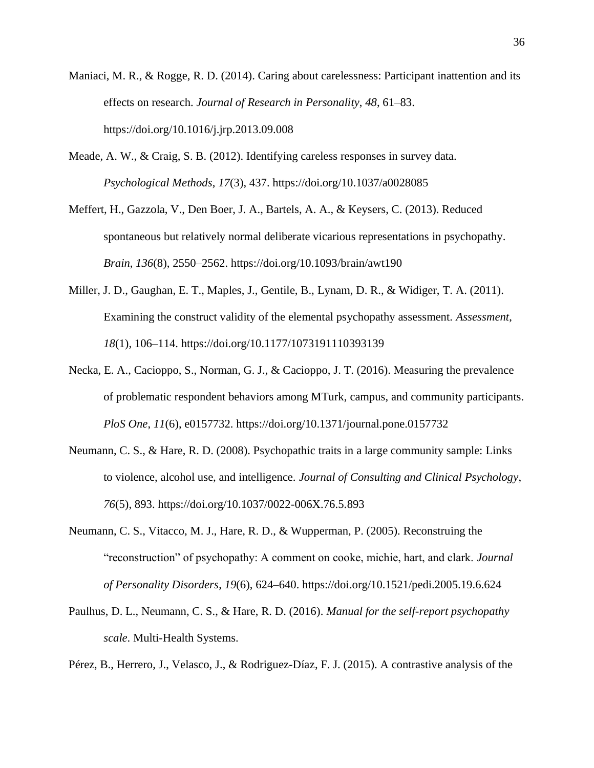- Maniaci, M. R., & Rogge, R. D. (2014). Caring about carelessness: Participant inattention and its effects on research. *Journal of Research in Personality*, *48*, 61–83. <https://doi.org/10.1016/j.jrp.2013.09.008>
- Meade, A. W., & Craig, S. B. (2012). Identifying careless responses in survey data. *Psychological Methods*, *17*(3), 437.<https://doi.org/10.1037/a0028085>
- Meffert, H., Gazzola, V., Den Boer, J. A., Bartels, A. A., & Keysers, C. (2013). Reduced spontaneous but relatively normal deliberate vicarious representations in psychopathy. *Brain*, *136*(8), 2550–2562.<https://doi.org/10.1093/brain/awt190>
- Miller, J. D., Gaughan, E. T., Maples, J., Gentile, B., Lynam, D. R., & Widiger, T. A. (2011). Examining the construct validity of the elemental psychopathy assessment. *Assessment*, *18*(1), 106–114.<https://doi.org/10.1177/1073191110393139>
- Necka, E. A., Cacioppo, S., Norman, G. J., & Cacioppo, J. T. (2016). Measuring the prevalence of problematic respondent behaviors among MTurk, campus, and community participants. *PloS One*, *11*(6), e0157732.<https://doi.org/10.1371/journal.pone.0157732>
- Neumann, C. S., & Hare, R. D. (2008). Psychopathic traits in a large community sample: Links to violence, alcohol use, and intelligence. *Journal of Consulting and Clinical Psychology*, *76*(5), 893.<https://doi.org/10.1037/0022-006X.76.5.893>
- Neumann, C. S., Vitacco, M. J., Hare, R. D., & Wupperman, P. (2005). Reconstruing the "reconstruction" of psychopathy: A comment on cooke, michie, hart, and clark. *Journal of Personality Disorders*, *19*(6), 624–640.<https://doi.org/10.1521/pedi.2005.19.6.624>
- Paulhus, D. L., Neumann, C. S., & Hare, R. D. (2016). *Manual for the self-report psychopathy scale*. Multi-Health Systems.

Pérez, B., Herrero, J., Velasco, J., & Rodriguez-Díaz, F. J. (2015). A contrastive analysis of the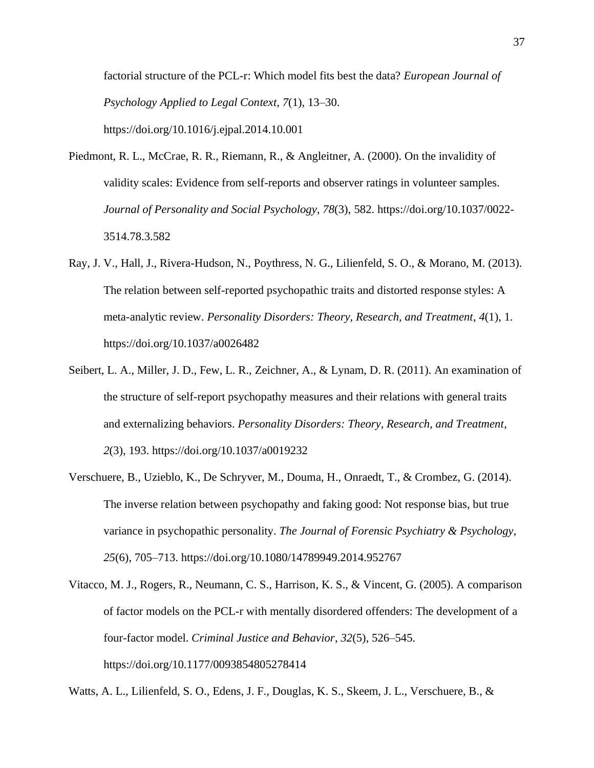factorial structure of the PCL-r: Which model fits best the data? *European Journal of Psychology Applied to Legal Context*, *7*(1), 13–30. <https://doi.org/10.1016/j.ejpal.2014.10.001>

- Piedmont, R. L., McCrae, R. R., Riemann, R., & Angleitner, A. (2000). On the invalidity of validity scales: Evidence from self-reports and observer ratings in volunteer samples. *Journal of Personality and Social Psychology*, *78*(3), 582. [https://doi.org/10.1037/0022-](https://doi.org/10.1037/0022-3514.78.3.582) [3514.78.3.582](https://doi.org/10.1037/0022-3514.78.3.582)
- Ray, J. V., Hall, J., Rivera-Hudson, N., Poythress, N. G., Lilienfeld, S. O., & Morano, M. (2013). The relation between self-reported psychopathic traits and distorted response styles: A meta-analytic review. *Personality Disorders: Theory, Research, and Treatment*, *4*(1), 1. <https://doi.org/10.1037/a0026482>
- Seibert, L. A., Miller, J. D., Few, L. R., Zeichner, A., & Lynam, D. R. (2011). An examination of the structure of self-report psychopathy measures and their relations with general traits and externalizing behaviors. *Personality Disorders: Theory, Research, and Treatment*, *2*(3), 193.<https://doi.org/10.1037/a0019232>
- Verschuere, B., Uzieblo, K., De Schryver, M., Douma, H., Onraedt, T., & Crombez, G. (2014). The inverse relation between psychopathy and faking good: Not response bias, but true variance in psychopathic personality. *The Journal of Forensic Psychiatry & Psychology*, *25*(6), 705–713.<https://doi.org/10.1080/14789949.2014.952767>
- Vitacco, M. J., Rogers, R., Neumann, C. S., Harrison, K. S., & Vincent, G. (2005). A comparison of factor models on the PCL-r with mentally disordered offenders: The development of a four-factor model. *Criminal Justice and Behavior*, *32*(5), 526–545. <https://doi.org/10.1177/0093854805278414>

Watts, A. L., Lilienfeld, S. O., Edens, J. F., Douglas, K. S., Skeem, J. L., Verschuere, B., &